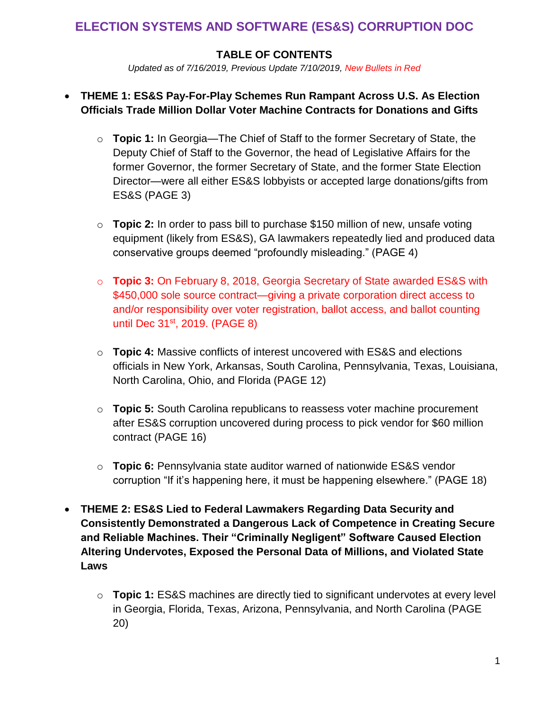# **ELECTION SYSTEMS AND SOFTWARE (ES&S) CORRUPTION DOC**

## **TABLE OF CONTENTS**

*Updated as of 7/16/2019, Previous Update 7/10/2019, New Bullets in Red*

## • **THEME 1: ES&S Pay-For-Play Schemes Run Rampant Across U.S. As Election Officials Trade Million Dollar Voter Machine Contracts for Donations and Gifts**

- o **Topic 1:** In Georgia—The Chief of Staff to the former Secretary of State, the Deputy Chief of Staff to the Governor, the head of Legislative Affairs for the former Governor, the former Secretary of State, and the former State Election Director—were all either ES&S lobbyists or accepted large donations/gifts from ES&S (PAGE 3)
- o **Topic 2:** In order to pass bill to purchase \$150 million of new, unsafe voting equipment (likely from ES&S), GA lawmakers repeatedly lied and produced data conservative groups deemed "profoundly misleading." (PAGE 4)
- o **Topic 3:** On February 8, 2018, Georgia Secretary of State awarded ES&S with \$450,000 sole source contract—giving a private corporation direct access to and/or responsibility over voter registration, ballot access, and ballot counting until Dec 31<sup>st</sup>, 2019. (PAGE 8)
- o **Topic 4:** Massive conflicts of interest uncovered with ES&S and elections officials in New York, Arkansas, South Carolina, Pennsylvania, Texas, Louisiana, North Carolina, Ohio, and Florida (PAGE 12)
- o **Topic 5:** South Carolina republicans to reassess voter machine procurement after ES&S corruption uncovered during process to pick vendor for \$60 million contract (PAGE 16)
- o **Topic 6:** Pennsylvania state auditor warned of nationwide ES&S vendor corruption "If it's happening here, it must be happening elsewhere." (PAGE 18)
- **THEME 2: ES&S Lied to Federal Lawmakers Regarding Data Security and Consistently Demonstrated a Dangerous Lack of Competence in Creating Secure and Reliable Machines. Their "Criminally Negligent" Software Caused Election Altering Undervotes, Exposed the Personal Data of Millions, and Violated State Laws**
	- o **Topic 1:** ES&S machines are directly tied to significant undervotes at every level in Georgia, Florida, Texas, Arizona, Pennsylvania, and North Carolina (PAGE 20)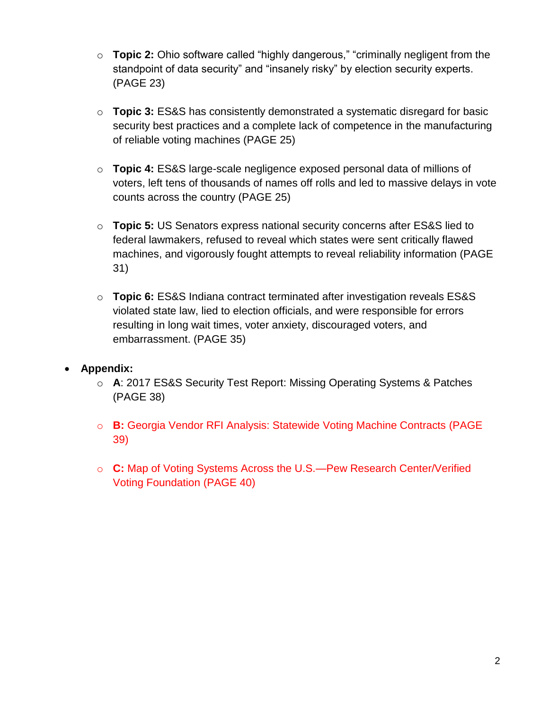- o **Topic 2:** Ohio software called "highly dangerous," "criminally negligent from the standpoint of data security" and "insanely risky" by election security experts. (PAGE 23)
- o **Topic 3:** ES&S has consistently demonstrated a systematic disregard for basic security best practices and a complete lack of competence in the manufacturing of reliable voting machines (PAGE 25)
- o **Topic 4:** ES&S large-scale negligence exposed personal data of millions of voters, left tens of thousands of names off rolls and led to massive delays in vote counts across the country (PAGE 25)
- o **Topic 5:** US Senators express national security concerns after ES&S lied to federal lawmakers, refused to reveal which states were sent critically flawed machines, and vigorously fought attempts to reveal reliability information (PAGE 31)
- o **Topic 6:** ES&S Indiana contract terminated after investigation reveals ES&S violated state law, lied to election officials, and were responsible for errors resulting in long wait times, voter anxiety, discouraged voters, and embarrassment. (PAGE 35)
- **Appendix:**
	- o **A**: 2017 ES&S Security Test Report: Missing Operating Systems & Patches (PAGE 38)
	- o **B:** Georgia Vendor RFI Analysis: Statewide Voting Machine Contracts (PAGE 39)
	- o **C:** Map of Voting Systems Across the U.S.—Pew Research Center/Verified Voting Foundation (PAGE 40)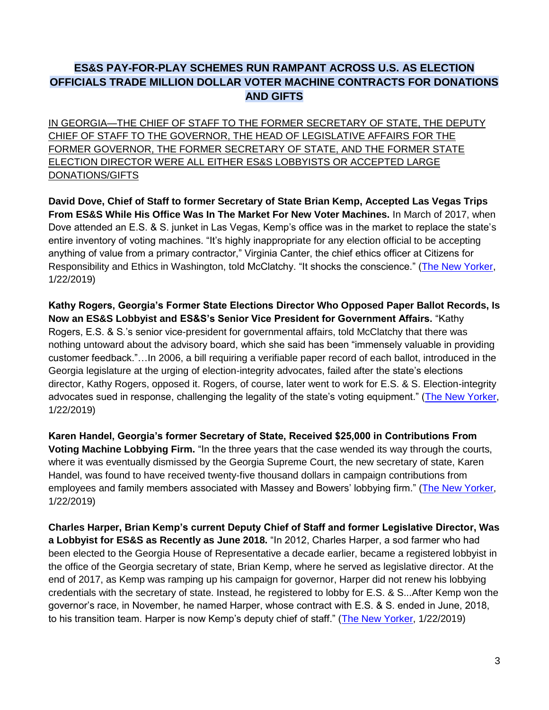## **ES&S PAY-FOR-PLAY SCHEMES RUN RAMPANT ACROSS U.S. AS ELECTION OFFICIALS TRADE MILLION DOLLAR VOTER MACHINE CONTRACTS FOR DONATIONS AND GIFTS**

IN GEORGIA—THE CHIEF OF STAFF TO THE FORMER SECRETARY OF STATE, THE DEPUTY CHIEF OF STAFF TO THE GOVERNOR, THE HEAD OF LEGISLATIVE AFFAIRS FOR THE FORMER GOVERNOR, THE FORMER SECRETARY OF STATE, AND THE FORMER STATE ELECTION DIRECTOR WERE ALL EITHER ES&S LOBBYISTS OR ACCEPTED LARGE DONATIONS/GIFTS

**David Dove, Chief of Staff to former Secretary of State Brian Kemp, Accepted Las Vegas Trips From ES&S While His Office Was In The Market For New Voter Machines.** In March of 2017, when Dove attended an E.S. & S. junket in Las Vegas, Kemp's office was in the market to replace the state's entire inventory of voting machines. "It's highly inappropriate for any election official to be accepting anything of value from a primary contractor," Virginia Canter, the chief ethics officer at Citizens for Responsibility and Ethics in Washington, told McClatchy. "It shocks the conscience." [\(The New Yorker,](https://www.newyorker.com/tech/annals-of-technology/how-voting-machine-lobbyists-undermine-the-democratic-process) 1/22/2019)

**Kathy Rogers, Georgia's Former State Elections Director Who Opposed Paper Ballot Records, Is Now an ES&S Lobbyist and ES&S's Senior Vice President for Government Affairs.** "Kathy Rogers, E.S. & S.'s senior vice-president for governmental affairs, told McClatchy that there was nothing untoward about the advisory board, which she said has been "immensely valuable in providing customer feedback."…In 2006, a bill requiring a verifiable paper record of each ballot, introduced in the Georgia legislature at the urging of election-integrity advocates, failed after the state's elections director, Kathy Rogers, opposed it. Rogers, of course, later went to work for E.S. & S. Election-integrity advocates sued in response, challenging the legality of the state's voting equipment." [\(The New Yorker,](https://www.newyorker.com/tech/annals-of-technology/how-voting-machine-lobbyists-undermine-the-democratic-process) 1/22/2019)

**Karen Handel, Georgia's former Secretary of State, Received \$25,000 in Contributions From Voting Machine Lobbying Firm.** "In the three years that the case wended its way through the courts, where it was eventually dismissed by the Georgia Supreme Court, the new secretary of state, Karen Handel, was found to have received twenty-five thousand dollars in campaign contributions from employees and family members associated with Massey and Bowers' lobbying firm." [\(The New Yorker,](https://www.newyorker.com/tech/annals-of-technology/how-voting-machine-lobbyists-undermine-the-democratic-process) 1/22/2019)

**Charles Harper, Brian Kemp's current Deputy Chief of Staff and former Legislative Director, Was a Lobbyist for ES&S as Recently as June 2018.** "In 2012, Charles Harper, a sod farmer who had been elected to the Georgia House of Representative a decade earlier, became a registered lobbyist in the office of the Georgia secretary of state, Brian Kemp, where he served as legislative director. At the end of 2017, as Kemp was ramping up his campaign for governor, Harper did not renew his lobbying credentials with the secretary of state. Instead, he registered to lobby for E.S. & S...After Kemp won the governor's race, in November, he named Harper, whose contract with E.S. & S. ended in June, 2018, to his transition team. Harper is now Kemp's deputy chief of staff." [\(The New Yorker,](https://www.newyorker.com/tech/annals-of-technology/how-voting-machine-lobbyists-undermine-the-democratic-process) 1/22/2019)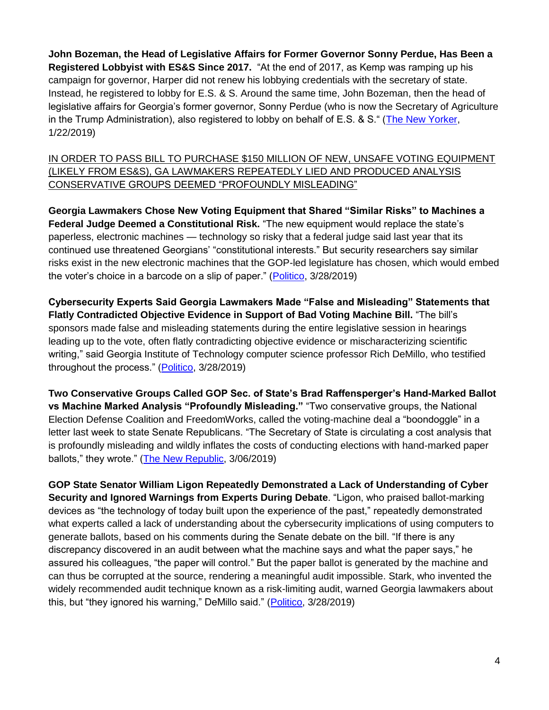**John Bozeman, the Head of Legislative Affairs for Former Governor Sonny Perdue, Has Been a Registered Lobbyist with ES&S Since 2017.** "At the end of 2017, as Kemp was ramping up his campaign for governor, Harper did not renew his lobbying credentials with the secretary of state. Instead, he registered to lobby for E.S. & S. Around the same time, John Bozeman, then the head of legislative affairs for Georgia's former governor, Sonny Perdue (who is now the Secretary of Agriculture in the Trump Administration), also registered to lobby on behalf of E.S. & S." [\(The New Yorker,](https://www.newyorker.com/tech/annals-of-technology/how-voting-machine-lobbyists-undermine-the-democratic-process) 1/22/2019)

IN ORDER TO PASS BILL TO PURCHASE \$150 MILLION OF NEW, UNSAFE VOTING EQUIPMENT (LIKELY FROM ES&S), GA LAWMAKERS REPEATEDLY LIED AND PRODUCED ANALYSIS CONSERVATIVE GROUPS DEEMED "PROFOUNDLY MISLEADING"

**Georgia Lawmakers Chose New Voting Equipment that Shared "Similar Risks" to Machines a Federal Judge Deemed a Constitutional Risk.** "The new equipment would replace the state's paperless, electronic machines — technology so risky that a federal judge said last year that its continued use threatened Georgians' "constitutional interests." But security researchers say similar risks exist in the new electronic machines that the GOP-led legislature has chosen, which would embed the voter's choice in a barcode on a slip of paper." [\(Politico,](https://www.politico.com/story/2019/03/28/georgia-voting-machines-safe-1241033) 3/28/2019)

**Cybersecurity Experts Said Georgia Lawmakers Made "False and Misleading" Statements that Flatly Contradicted Objective Evidence in Support of Bad Voting Machine Bill.** "The bill's sponsors made false and misleading statements during the entire legislative session in hearings leading up to the vote, often flatly contradicting objective evidence or mischaracterizing scientific writing," said Georgia Institute of Technology computer science professor Rich DeMillo, who testified throughout the process." [\(Politico,](https://www.politico.com/story/2019/03/28/georgia-voting-machines-safe-1241033) 3/28/2019)

**Two Conservative Groups Called GOP Sec. of State's Brad Raffensperger's Hand-Marked Ballot vs Machine Marked Analysis "Profoundly Misleading."** "Two conservative groups, the National Election Defense Coalition and FreedomWorks, called the voting-machine deal a "boondoggle" in a letter last week to state Senate Republicans. "The Secretary of State is circulating a cost analysis that is profoundly misleading and wildly inflates the costs of conducting elections with hand-marked paper ballots," they wrote." [\(The New Republic,](https://newrepublic.com/article/153221/making-georgias-bad-elections-even-worse) 3/06/2019)

**GOP State Senator William Ligon Repeatedly Demonstrated a Lack of Understanding of Cyber Security and Ignored Warnings from Experts During Debate**. "Ligon, who praised ballot-marking devices as "the technology of today built upon the experience of the past," repeatedly demonstrated what experts called a lack of understanding about the cybersecurity implications of using computers to generate ballots, based on his comments during the Senate debate on the bill. "If there is any discrepancy discovered in an audit between what the machine says and what the paper says," he assured his colleagues, "the paper will control." But the paper ballot is generated by the machine and can thus be corrupted at the source, rendering a meaningful audit impossible. Stark, who invented the widely recommended audit technique known as a risk-limiting audit, warned Georgia lawmakers about this, but "they ignored his warning," DeMillo said." [\(Politico,](https://www.politico.com/story/2019/03/28/georgia-voting-machines-safe-1241033) 3/28/2019)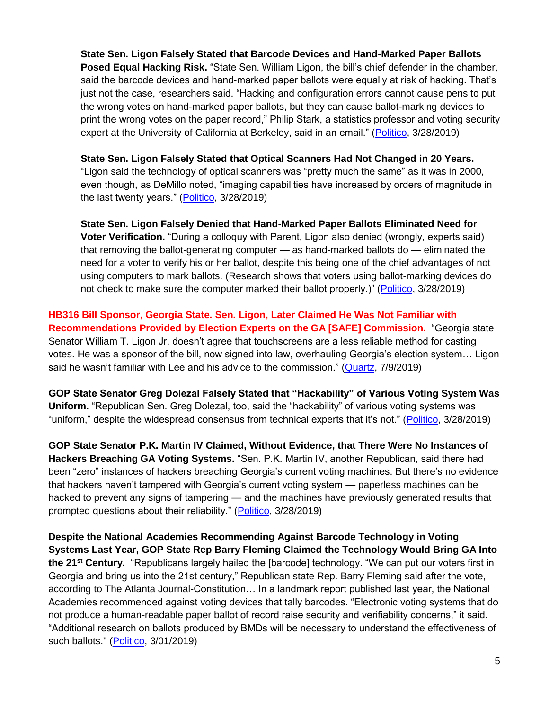**State Sen. Ligon Falsely Stated that Barcode Devices and Hand-Marked Paper Ballots Posed Equal Hacking Risk.** "State Sen. William Ligon, the bill's chief defender in the chamber, said the barcode devices and hand-marked paper ballots were equally at risk of hacking. That's just not the case, researchers said. "Hacking and configuration errors cannot cause pens to put the wrong votes on hand-marked paper ballots, but they can cause ballot-marking devices to print the wrong votes on the paper record," Philip Stark, a statistics professor and voting security expert at the University of California at Berkeley, said in an email." [\(Politico,](https://www.politico.com/story/2019/03/28/georgia-voting-machines-safe-1241033) 3/28/2019)

**State Sen. Ligon Falsely Stated that Optical Scanners Had Not Changed in 20 Years.** "Ligon said the technology of optical scanners was "pretty much the same" as it was in 2000, even though, as DeMillo noted, "imaging capabilities have increased by orders of magnitude in the last twenty years." [\(Politico,](https://www.politico.com/story/2019/03/28/georgia-voting-machines-safe-1241033) 3/28/2019)

**State Sen. Ligon Falsely Denied that Hand-Marked Paper Ballots Eliminated Need for Voter Verification.** "During a colloquy with Parent, Ligon also denied (wrongly, experts said) that removing the ballot-generating computer — as hand-marked ballots do — eliminated the need for a voter to verify his or her ballot, despite this being one of the chief advantages of not using computers to mark ballots. (Research shows that voters using ballot-marking devices do not check to make sure the computer marked their ballot properly.)" [\(Politico,](https://www.politico.com/story/2019/03/28/georgia-voting-machines-safe-1241033) 3/28/2019)

**HB316 Bill Sponsor, Georgia State. Sen. Ligon, Later Claimed He Was Not Familiar with Recommendations Provided by Election Experts on the GA [SAFE] Commission.** "Georgia state Senator William T. Ligon Jr. doesn't agree that touchscreens are a less reliable method for casting votes. He was a sponsor of the bill, now signed into law, overhauling Georgia's election system… Ligon said he wasn't familiar with Lee and his advice to the commission." [\(Quartz,](https://qz.com/1661870/georgias-new-voting-tech-raises-questions-over-election-security/) 7/9/2019)

**GOP State Senator Greg Dolezal Falsely Stated that "Hackability" of Various Voting System Was Uniform.** "Republican Sen. Greg Dolezal, too, said the "hackability" of various voting systems was "uniform," despite the widespread consensus from technical experts that it's not." [\(Politico,](https://www.politico.com/story/2019/03/28/georgia-voting-machines-safe-1241033) 3/28/2019)

**GOP State Senator P.K. Martin IV Claimed, Without Evidence, that There Were No Instances of Hackers Breaching GA Voting Systems.** "Sen. P.K. Martin IV, another Republican, said there had been "zero" instances of hackers breaching Georgia's current voting machines. But there's no evidence that hackers haven't tampered with Georgia's current voting system — paperless machines can be hacked to prevent any signs of tampering — and the machines have previously generated results that prompted questions about their reliability." [\(Politico,](https://www.politico.com/story/2019/03/28/georgia-voting-machines-safe-1241033) 3/28/2019)

**Despite the National Academies Recommending Against Barcode Technology in Voting Systems Last Year, GOP State Rep Barry Fleming Claimed the Technology Would Bring GA Into the 21st Century.** "Republicans largely hailed the [barcode] technology. "We can put our voters first in Georgia and bring us into the 21st century," Republican state Rep. Barry Fleming said after the vote, according to The Atlanta Journal-Constitution… In a landmark report published last year, the National Academies recommended against voting devices that tally barcodes. "Electronic voting systems that do not produce a human-readable paper ballot of record raise security and verifiability concerns," it said. "Additional research on ballots produced by BMDs will be necessary to understand the effectiveness of such ballots." [\(Politico,](https://www.politico.com/story/2019/03/01/election-vulnerable-voting-machines-1198780) 3/01/2019)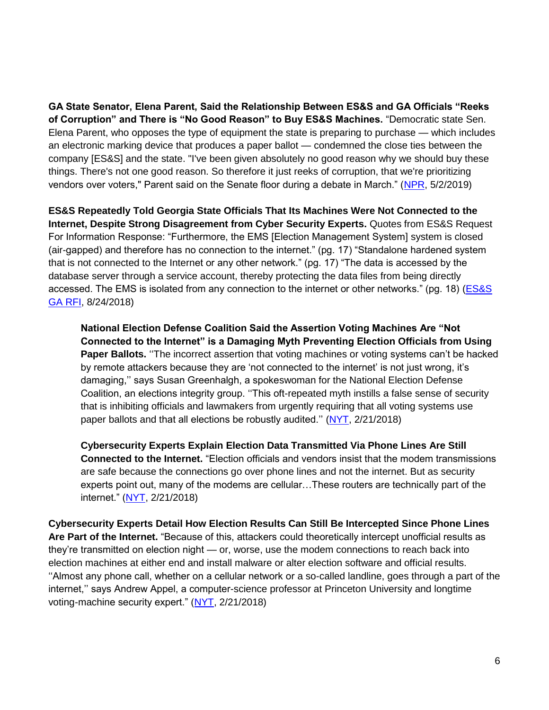**GA State Senator, Elena Parent, Said the Relationship Between ES&S and GA Officials "Reeks of Corruption" and There is "No Good Reason" to Buy ES&S Machines.** "Democratic state Sen. Elena Parent, who opposes the type of equipment the state is preparing to purchase — which includes an electronic marking device that produces a paper ballot — condemned the close ties between the company [ES&S] and the state. "I've been given absolutely no good reason why we should buy these things. There's not one good reason. So therefore it just reeks of corruption, that we're prioritizing vendors over voters," Parent said on the Senate floor during a debate in March." [\(NPR,](https://www.npr.org/2019/05/02/718270183/trips-to-vegas-and-chocolate-covered-pretzels-election-vendors-come-under-scruti) 5/2/2019)

**ES&S Repeatedly Told Georgia State Officials That Its Machines Were Not Connected to the Internet, Despite Strong Disagreement from Cyber Security Experts.** Quotes from ES&S Request For Information Response: "Furthermore, the EMS [Election Management System] system is closed (air-gapped) and therefore has no connection to the internet." (pg. 17) "Standalone hardened system that is not connected to the Internet or any other network." (pg. 17) "The data is accessed by the database server through a service account, thereby protecting the data files from being directly accessed. The EMS is isolated from any connection to the internet or other networks." (pg. 18) [\(ES&S](https://sos.ga.gov/admin/files/ESS%20RFI%20-%20Final%20-%20Redacted.pdf)  [GA RFI,](https://sos.ga.gov/admin/files/ESS%20RFI%20-%20Final%20-%20Redacted.pdf) 8/24/2018)

**National Election Defense Coalition Said the Assertion Voting Machines Are "Not Connected to the Internet" is a Damaging Myth Preventing Election Officials from Using Paper Ballots.** ''The incorrect assertion that voting machines or voting systems can't be hacked by remote attackers because they are 'not connected to the internet' is not just wrong, it's damaging,'' says Susan Greenhalgh, a spokeswoman for the National Election Defense Coalition, an elections integrity group. ''This oft-repeated myth instills a false sense of security that is inhibiting officials and lawmakers from urgently requiring that all voting systems use paper ballots and that all elections be robustly audited." [\(NYT,](https://www.nytimes.com/2018/02/21/magazine/the-myth-of-the-hacker-proof-voting-machine.html) 2/21/2018)

**Cybersecurity Experts Explain Election Data Transmitted Via Phone Lines Are Still Connected to the Internet.** "Election officials and vendors insist that the modem transmissions are safe because the connections go over phone lines and not the internet. But as security experts point out, many of the modems are cellular…These routers are technically part of the internet." [\(NYT,](https://www.nytimes.com/2018/02/21/magazine/the-myth-of-the-hacker-proof-voting-machine.html) 2/21/2018)

**Cybersecurity Experts Detail How Election Results Can Still Be Intercepted Since Phone Lines Are Part of the Internet.** "Because of this, attackers could theoretically intercept unofficial results as they're transmitted on election night — or, worse, use the modem connections to reach back into election machines at either end and install malware or alter election software and official results. ''Almost any phone call, whether on a cellular network or a so-called landline, goes through a part of the internet,'' says Andrew Appel, a computer-science professor at Princeton University and longtime voting-machine security expert." [\(NYT,](https://www.nytimes.com/2018/02/21/magazine/the-myth-of-the-hacker-proof-voting-machine.html) 2/21/2018)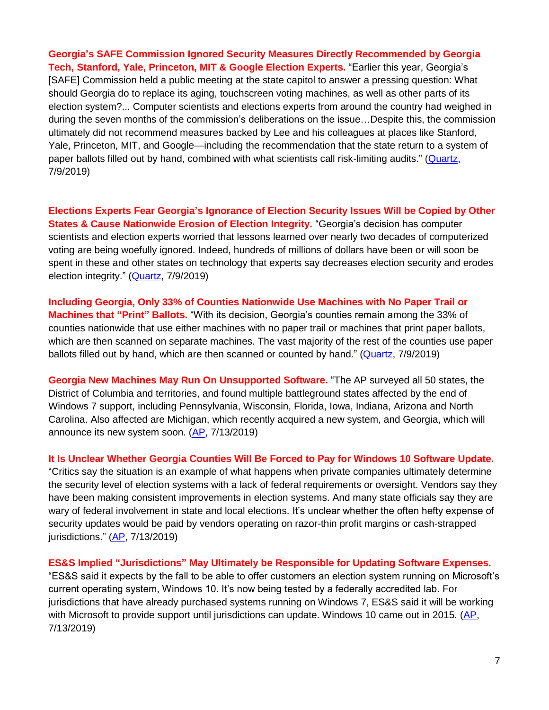**Georgia's SAFE Commission Ignored Security Measures Directly Recommended by Georgia Tech, Stanford, Yale, Princeton, MIT & Google Election Experts.** "Earlier this year, Georgia's [SAFE] Commission held a public meeting at the state capitol to answer a pressing question: What should Georgia do to replace its aging, touchscreen voting machines, as well as other parts of its election system?... Computer scientists and elections experts from around the country had weighed in during the seven months of the commission's deliberations on the issue…Despite this, the commission ultimately did not recommend measures backed by Lee and his colleagues at places like Stanford, Yale, Princeton, MIT, and Google—including the recommendation that the state return to a system of paper ballots filled out by hand, combined with what scientists call risk-limiting audits." [\(Quartz,](https://qz.com/1661870/georgias-new-voting-tech-raises-questions-over-election-security/) 7/9/2019)

**Elections Experts Fear Georgia's Ignorance of Election Security Issues Will be Copied by Other States & Cause Nationwide Erosion of Election Integrity.** "Georgia's decision has computer scientists and election experts worried that lessons learned over nearly two decades of computerized voting are being woefully ignored. Indeed, hundreds of millions of dollars have been or will soon be spent in these and other states on technology that experts say decreases election security and erodes election integrity." [\(Quartz,](https://qz.com/1661870/georgias-new-voting-tech-raises-questions-over-election-security/) 7/9/2019)

**Including Georgia, Only 33% of Counties Nationwide Use Machines with No Paper Trail or Machines that "Print" Ballots.** "With its decision, Georgia's counties remain among the 33% of counties nationwide that use either machines with no paper trail or machines that print paper ballots, which are then scanned on separate machines. The vast majority of the rest of the counties use paper ballots filled out by hand, which are then scanned or counted by hand." [\(Quartz,](https://qz.com/1661870/georgias-new-voting-tech-raises-questions-over-election-security/) 7/9/2019)

**Georgia New Machines May Run On Unsupported Software.** "The AP surveyed all 50 states, the District of Columbia and territories, and found multiple battleground states affected by the end of Windows 7 support, including Pennsylvania, Wisconsin, Florida, Iowa, Indiana, Arizona and North Carolina. Also affected are Michigan, which recently acquired a new system, and Georgia, which will announce its new system soon. [\(AP,](https://apnews.com/e5e070c31f3c497fa9e6875f426ccde1) 7/13/2019)

**It Is Unclear Whether Georgia Counties Will Be Forced to Pay for Windows 10 Software Update.** "Critics say the situation is an example of what happens when private companies ultimately determine the security level of election systems with a lack of federal requirements or oversight. Vendors say they have been making consistent improvements in election systems. And many state officials say they are wary of federal involvement in state and local elections. It's unclear whether the often hefty expense of security updates would be paid by vendors operating on razor-thin profit margins or cash-strapped jurisdictions." [\(AP,](https://apnews.com/e5e070c31f3c497fa9e6875f426ccde1) 7/13/2019)

#### **ES&S Implied "Jurisdictions" May Ultimately be Responsible for Updating Software Expenses.**

"ES&S said it expects by the fall to be able to offer customers an election system running on Microsoft's current operating system, Windows 10. It's now being tested by a federally accredited lab. For jurisdictions that have already purchased systems running on Windows 7, ES&S said it will be working with Microsoft to provide support until jurisdictions can update. Windows 10 came out in 2015. [\(AP,](https://apnews.com/e5e070c31f3c497fa9e6875f426ccde1) 7/13/2019)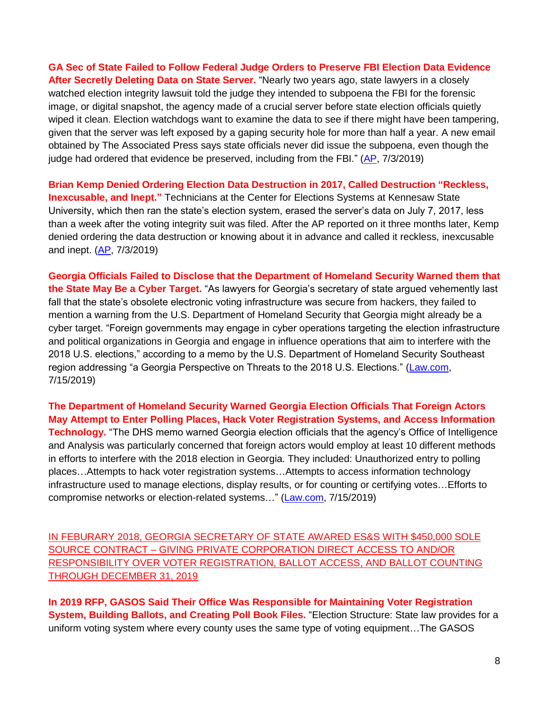**GA Sec of State Failed to Follow Federal Judge Orders to Preserve FBI Election Data Evidence After Secretly Deleting Data on State Server.** "Nearly two years ago, state lawyers in a closely watched election integrity lawsuit told the judge they intended to subpoena the FBI for the forensic image, or digital snapshot, the agency made of a crucial server before state election officials quietly wiped it clean. Election watchdogs want to examine the data to see if there might have been tampering, given that the server was left exposed by a gaping security hole for more than half a year. A new email obtained by The Associated Press says state officials never did issue the subpoena, even though the judge had ordered that evidence be preserved, including from the FBI." [\(AP,](https://www.apnews.com/0117a85d02ff4890b5a66f1c9f3c376e) 7/3/2019)

**Brian Kemp Denied Ordering Election Data Destruction in 2017, Called Destruction "Reckless, Inexcusable, and Inept."** Technicians at the Center for Elections Systems at Kennesaw State University, which then ran the state's election system, erased the server's data on July 7, 2017, less than a week after the voting integrity suit was filed. After the AP reported on it three months later, Kemp denied ordering the data destruction or knowing about it in advance and called it reckless, inexcusable and inept. [\(AP,](https://www.apnews.com/0117a85d02ff4890b5a66f1c9f3c376e) 7/3/2019)

**Georgia Officials Failed to Disclose that the Department of Homeland Security Warned them that the State May Be a Cyber Target.** "As lawyers for Georgia's secretary of state argued vehemently last fall that the state's obsolete electronic voting infrastructure was secure from hackers, they failed to mention a warning from the U.S. Department of Homeland Security that Georgia might already be a cyber target. "Foreign governments may engage in cyber operations targeting the election infrastructure and political organizations in Georgia and engage in influence operations that aim to interfere with the 2018 U.S. elections," according to a memo by the U.S. Department of Homeland Security Southeast region addressing "a Georgia Perspective on Threats to the 2018 U.S. Elections." [\(Law.com,](https://www.law.com/dailyreportonline/2019/07/15/georgia-lawyers-argued-2018-voter-machines-were-safe-but-the-state-was-already-a-cyber-target/?slreturn=20190616073310) 7/15/2019)

**The Department of Homeland Security Warned Georgia Election Officials That Foreign Actors May Attempt to Enter Polling Places, Hack Voter Registration Systems, and Access Information Technology.** "The DHS memo warned Georgia election officials that the agency's Office of Intelligence and Analysis was particularly concerned that foreign actors would employ at least 10 different methods in efforts to interfere with the 2018 election in Georgia. They included: Unauthorized entry to polling places…Attempts to hack voter registration systems…Attempts to access information technology infrastructure used to manage elections, display results, or for counting or certifying votes…Efforts to compromise networks or election-related systems…" [\(Law.com,](https://www.law.com/dailyreportonline/2019/07/15/georgia-lawyers-argued-2018-voter-machines-were-safe-but-the-state-was-already-a-cyber-target/?slreturn=20190616073310) 7/15/2019)

IN FEBURARY 2018, GEORGIA SECRETARY OF STATE AWARED ES&S WITH \$450,000 SOLE SOURCE CONTRACT – GIVING PRIVATE CORPORATION DIRECT ACCESS TO AND/OR RESPONSIBILITY OVER VOTER REGISTRATION, BALLOT ACCESS, AND BALLOT COUNTING THROUGH DECEMBER 31, 2019

**In 2019 RFP, GASOS Said Their Office Was Responsible for Maintaining Voter Registration System, Building Ballots, and Creating Poll Book Files.** "Election Structure: State law provides for a uniform voting system where every county uses the same type of voting equipment…The GASOS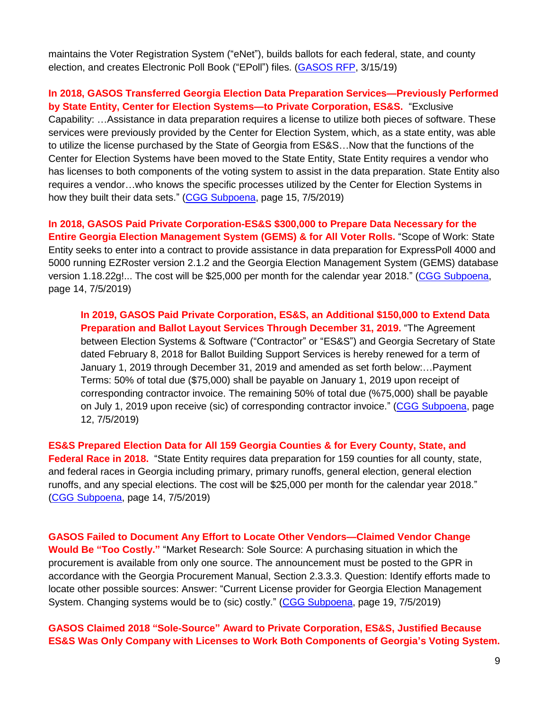maintains the Voter Registration System ("eNet"), builds ballots for each federal, state, and county election, and creates Electronic Poll Book ("EPoll") files. [\(GASOS RFP,](https://www.documentcloud.org/documents/5772241-GEORGIA-VOTING-RFP.html#document/p5) 3/15/19)

#### **In 2018, GASOS Transferred Georgia Election Data Preparation Services—Previously Performed by State Entity, Center for Election Systems—to Private Corporation, ES&S.** "Exclusive

Capability: …Assistance in data preparation requires a license to utilize both pieces of software. These services were previously provided by the Center for Election System, which, as a state entity, was able to utilize the license purchased by the State of Georgia from ES&S…Now that the functions of the Center for Election Systems have been moved to the State Entity, State Entity requires a vendor who has licenses to both components of the voting system to assist in the data preparation. State Entity also requires a vendor…who knows the specific processes utilized by the Center for Election Systems in how they built their data sets." [\(CGG Subpoena,](https://coaltionforgoodgovernance.sharefile.com/share/view/sc2896b8d5794d4d8) page 15, 7/5/2019)

**In 2018, GASOS Paid Private Corporation-ES&S \$300,000 to Prepare Data Necessary for the Entire Georgia Election Management System (GEMS) & for All Voter Rolls.** "Scope of Work: State Entity seeks to enter into a contract to provide assistance in data preparation for ExpressPoll 4000 and 5000 running EZRoster version 2.1.2 and the Georgia Election Management System (GEMS) database version 1.18.22g!... The cost will be \$25,000 per month for the calendar year 2018." [\(CGG Subpoena,](https://coaltionforgoodgovernance.sharefile.com/share/view/sc2896b8d5794d4d8) page 14, 7/5/2019)

**In 2019, GASOS Paid Private Corporation, ES&S, an Additional \$150,000 to Extend Data Preparation and Ballot Layout Services Through December 31, 2019.** "The Agreement between Election Systems & Software ("Contractor" or "ES&S") and Georgia Secretary of State dated February 8, 2018 for Ballot Building Support Services is hereby renewed for a term of January 1, 2019 through December 31, 2019 and amended as set forth below:…Payment Terms: 50% of total due (\$75,000) shall be payable on January 1, 2019 upon receipt of corresponding contractor invoice. The remaining 50% of total due (%75,000) shall be payable on July 1, 2019 upon receive (sic) of corresponding contractor invoice." [\(CGG Subpoena,](https://coaltionforgoodgovernance.sharefile.com/share/view/sc2896b8d5794d4d8) page 12, 7/5/2019)

**ES&S Prepared Election Data for All 159 Georgia Counties & for Every County, State, and Federal Race in 2018.** "State Entity requires data preparation for 159 counties for all county, state, and federal races in Georgia including primary, primary runoffs, general election, general election runoffs, and any special elections. The cost will be \$25,000 per month for the calendar year 2018." [\(CGG Subpoena,](https://coaltionforgoodgovernance.sharefile.com/share/view/sc2896b8d5794d4d8) page 14, 7/5/2019)

**GASOS Failed to Document Any Effort to Locate Other Vendors—Claimed Vendor Change Would Be "Too Costly."** "Market Research: Sole Source: A purchasing situation in which the procurement is available from only one source. The announcement must be posted to the GPR in accordance with the Georgia Procurement Manual, Section 2.3.3.3. Question: Identify efforts made to locate other possible sources: Answer: "Current License provider for Georgia Election Management System. Changing systems would be to (sic) costly." [\(CGG Subpoena,](https://coaltionforgoodgovernance.sharefile.com/share/view/sc2896b8d5794d4d8) page 19, 7/5/2019)

**GASOS Claimed 2018 "Sole-Source" Award to Private Corporation, ES&S, Justified Because ES&S Was Only Company with Licenses to Work Both Components of Georgia's Voting System.**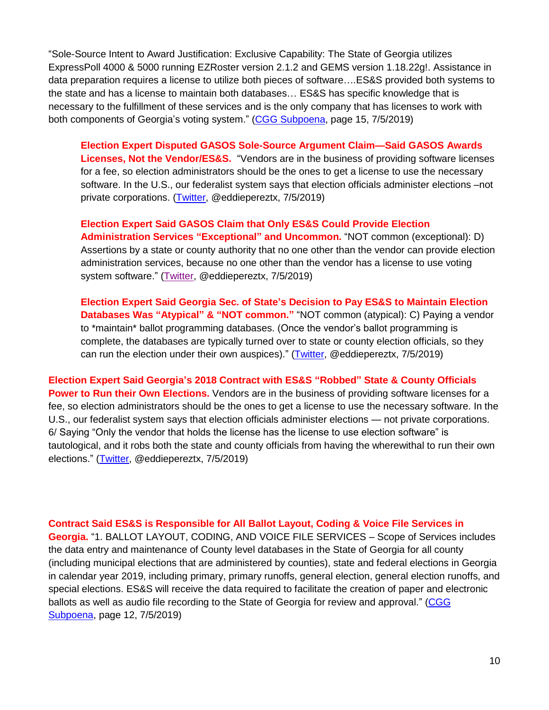"Sole-Source Intent to Award Justification: Exclusive Capability: The State of Georgia utilizes ExpressPoll 4000 & 5000 running EZRoster version 2.1.2 and GEMS version 1.18.22g!. Assistance in data preparation requires a license to utilize both pieces of software….ES&S provided both systems to the state and has a license to maintain both databases… ES&S has specific knowledge that is necessary to the fulfillment of these services and is the only company that has licenses to work with both components of Georgia's voting system." [\(CGG Subpoena,](https://coaltionforgoodgovernance.sharefile.com/share/view/sc2896b8d5794d4d8) page 15, 7/5/2019)

**Election Expert Disputed GASOS Sole-Source Argument Claim—Said GASOS Awards Licenses, Not the Vendor/ES&S.** "Vendors are in the business of providing software licenses for a fee, so election administrators should be the ones to get a license to use the necessary software. In the U.S., our federalist system says that election officials administer elections –not private corporations. [\(Twitter,](https://twitter.com/eddieperezTX/status/1147231438124847104?s=20) @eddiepereztx, 7/5/2019)

**Election Expert Said GASOS Claim that Only ES&S Could Provide Election Administration Services "Exceptional" and Uncommon.** "NOT common (exceptional): D) Assertions by a state or county authority that no one other than the vendor can provide election administration services, because no one other than the vendor has a license to use voting system software." [\(Twitter,](https://twitter.com/eddieperezTX/status/1147231436212199425) @eddiepereztx, 7/5/2019)

**Election Expert Said Georgia Sec. of State's Decision to Pay ES&S to Maintain Election Databases Was "Atypical" & "NOT common."** "NOT common (atypical): C) Paying a vendor to \*maintain\* ballot programming databases. (Once the vendor's ballot programming is complete, the databases are typically turned over to state or county election officials, so they can run the election under their own auspices)." [\(Twitter,](https://twitter.com/eddieperezTX/status/1147231434547109888) @eddiepereztx, 7/5/2019)

**Election Expert Said Georgia's 2018 Contract with ES&S "Robbed" State & County Officials Power to Run their Own Elections.** Vendors are in the business of providing software licenses for a fee, so election administrators should be the ones to get a license to use the necessary software. In the U.S., our federalist system says that election officials administer elections — not private corporations. 6/ Saying "Only the vendor that holds the license has the license to use election software" is tautological, and it robs both the state and county officials from having the wherewithal to run their own elections." [\(Twitter,](https://twitter.com/eddieperezTX/status/1147231438124847104) @eddiepereztx, 7/5/2019)

**Contract Said ES&S is Responsible for All Ballot Layout, Coding & Voice File Services in Georgia.** "1. BALLOT LAYOUT, CODING, AND VOICE FILE SERVICES – Scope of Services includes the data entry and maintenance of County level databases in the State of Georgia for all county (including municipal elections that are administered by counties), state and federal elections in Georgia in calendar year 2019, including primary, primary runoffs, general election, general election runoffs, and special elections. ES&S will receive the data required to facilitate the creation of paper and electronic ballots as well as audio file recording to the State of Georgia for review and approval." (CGG [Subpoena,](https://coaltionforgoodgovernance.sharefile.com/share/view/sc2896b8d5794d4d8) page 12, 7/5/2019)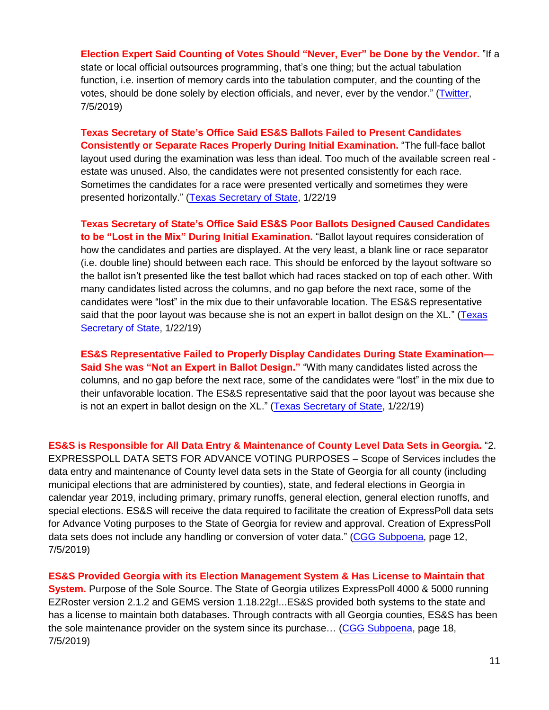**Election Expert Said Counting of Votes Should "Never, Ever" be Done by the Vendor.** "If a state or local official outsources programming, that's one thing; but the actual tabulation function, i.e. insertion of memory cards into the tabulation computer, and the counting of the votes, should be done solely by election officials, and never, ever by the vendor." [\(Twitter,](https://twitter.com/eddieperezTX/status/1147231441685794816) 7/5/2019)

**Texas Secretary of State's Office Said ES&S Ballots Failed to Present Candidates Consistently or Separate Races Properly During Initial Examination.** "The full-face ballot layout used during the examination was less than ideal. Too much of the available screen real estate was unused. Also, the candidates were not presented consistently for each race. Sometimes the candidates for a race were presented vertically and sometimes they were presented horizontally." [\(Texas Secretary of State,](https://www.sos.state.tx.us/elections/forms/sysexam/tom-watson-evs6020.pdf) 1/22/19

**Texas Secretary of State's Office Said ES&S Poor Ballots Designed Caused Candidates to be "Lost in the Mix" During Initial Examination.** "Ballot layout requires consideration of how the candidates and parties are displayed. At the very least, a blank line or race separator (i.e. double line) should between each race. This should be enforced by the layout software so the ballot isn't presented like the test ballot which had races stacked on top of each other. With many candidates listed across the columns, and no gap before the next race, some of the candidates were "lost" in the mix due to their unfavorable location. The ES&S representative said that the poor layout was because she is not an expert in ballot design on the XL." [\(Texas](https://www.sos.state.tx.us/elections/forms/sysexam/tom-watson-evs6020.pdf)  [Secretary of State,](https://www.sos.state.tx.us/elections/forms/sysexam/tom-watson-evs6020.pdf) 1/22/19)

**ES&S Representative Failed to Properly Display Candidates During State Examination— Said She was "Not an Expert in Ballot Design."** "With many candidates listed across the columns, and no gap before the next race, some of the candidates were "lost" in the mix due to their unfavorable location. The ES&S representative said that the poor layout was because she is not an expert in ballot design on the XL." [\(Texas Secretary of State,](https://www.sos.state.tx.us/elections/forms/sysexam/tom-watson-evs6020.pdf) 1/22/19)

**ES&S is Responsible for All Data Entry & Maintenance of County Level Data Sets in Georgia.** "2. EXPRESSPOLL DATA SETS FOR ADVANCE VOTING PURPOSES – Scope of Services includes the data entry and maintenance of County level data sets in the State of Georgia for all county (including municipal elections that are administered by counties), state, and federal elections in Georgia in calendar year 2019, including primary, primary runoffs, general election, general election runoffs, and special elections. ES&S will receive the data required to facilitate the creation of ExpressPoll data sets for Advance Voting purposes to the State of Georgia for review and approval. Creation of ExpressPoll data sets does not include any handling or conversion of voter data." [\(CGG Subpoena,](https://coaltionforgoodgovernance.sharefile.com/share/view/sc2896b8d5794d4d8) page 12, 7/5/2019)

**ES&S Provided Georgia with its Election Management System & Has License to Maintain that System.** Purpose of the Sole Source. The State of Georgia utilizes ExpressPoll 4000 & 5000 running EZRoster version 2.1.2 and GEMS version 1.18.22g!...ES&S provided both systems to the state and has a license to maintain both databases. Through contracts with all Georgia counties, ES&S has been the sole maintenance provider on the system since its purchase… [\(CGG Subpoena,](https://coaltionforgoodgovernance.sharefile.com/share/view/sc2896b8d5794d4d8) page 18, 7/5/2019)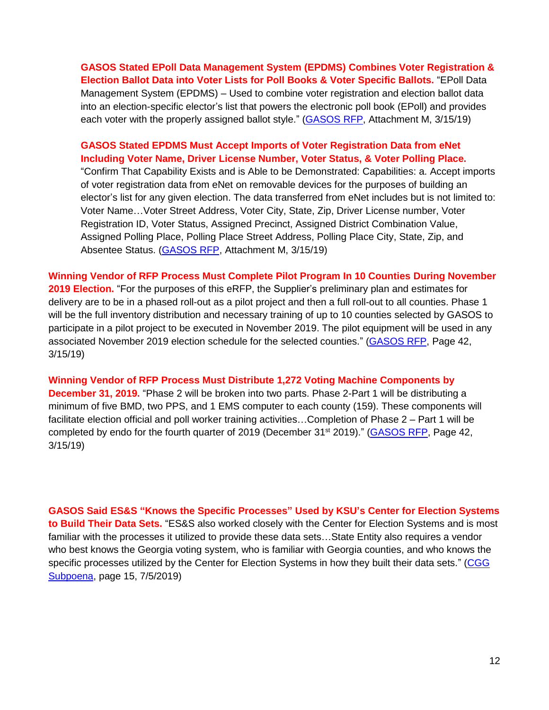**GASOS Stated EPoll Data Management System (EPDMS) Combines Voter Registration & Election Ballot Data into Voter Lists for Poll Books & Voter Specific Ballots.** "EPoll Data Management System (EPDMS) – Used to combine voter registration and election ballot data into an election-specific elector's list that powers the electronic poll book (EPoll) and provides each voter with the properly assigned ballot style." [\(GASOS RFP,](https://www.documentcloud.org/documents/5772241-GEORGIA-VOTING-RFP.html#document/p5) Attachment M, 3/15/19)

**GASOS Stated EPDMS Must Accept Imports of Voter Registration Data from eNet Including Voter Name, Driver License Number, Voter Status, & Voter Polling Place.** "Confirm That Capability Exists and is Able to be Demonstrated: Capabilities: a. Accept imports of voter registration data from eNet on removable devices for the purposes of building an elector's list for any given election. The data transferred from eNet includes but is not limited to: Voter Name…Voter Street Address, Voter City, State, Zip, Driver License number, Voter Registration ID, Voter Status, Assigned Precinct, Assigned District Combination Value, Assigned Polling Place, Polling Place Street Address, Polling Place City, State, Zip, and Absentee Status. [\(GASOS RFP,](https://www.documentcloud.org/documents/5772241-GEORGIA-VOTING-RFP.html#document/p5) Attachment M, 3/15/19)

**Winning Vendor of RFP Process Must Complete Pilot Program In 10 Counties During November 2019 Election.** "For the purposes of this eRFP, the Supplier's preliminary plan and estimates for delivery are to be in a phased roll-out as a pilot project and then a full roll-out to all counties. Phase 1 will be the full inventory distribution and necessary training of up to 10 counties selected by GASOS to participate in a pilot project to be executed in November 2019. The pilot equipment will be used in any associated November 2019 election schedule for the selected counties." [\(GASOS RFP,](https://www.documentcloud.org/documents/5772241-GEORGIA-VOTING-RFP.html#document/p5) Page 42, 3/15/19)

**Winning Vendor of RFP Process Must Distribute 1,272 Voting Machine Components by December 31, 2019.** "Phase 2 will be broken into two parts. Phase 2-Part 1 will be distributing a minimum of five BMD, two PPS, and 1 EMS computer to each county (159). These components will facilitate election official and poll worker training activities…Completion of Phase 2 – Part 1 will be completed by endo for the fourth quarter of 2019 (December 31<sup>st</sup> 2019)." [\(GASOS RFP,](https://www.documentcloud.org/documents/5772241-GEORGIA-VOTING-RFP.html#document/p5) Page 42, 3/15/19)

**GASOS Said ES&S "Knows the Specific Processes" Used by KSU's Center for Election Systems to Build Their Data Sets.** "ES&S also worked closely with the Center for Election Systems and is most familiar with the processes it utilized to provide these data sets…State Entity also requires a vendor who best knows the Georgia voting system, who is familiar with Georgia counties, and who knows the specific processes utilized by the Center for Election Systems in how they built their data sets." [\(CGG](https://coaltionforgoodgovernance.sharefile.com/share/view/sc2896b8d5794d4d8)  [Subpoena,](https://coaltionforgoodgovernance.sharefile.com/share/view/sc2896b8d5794d4d8) page 15, 7/5/2019)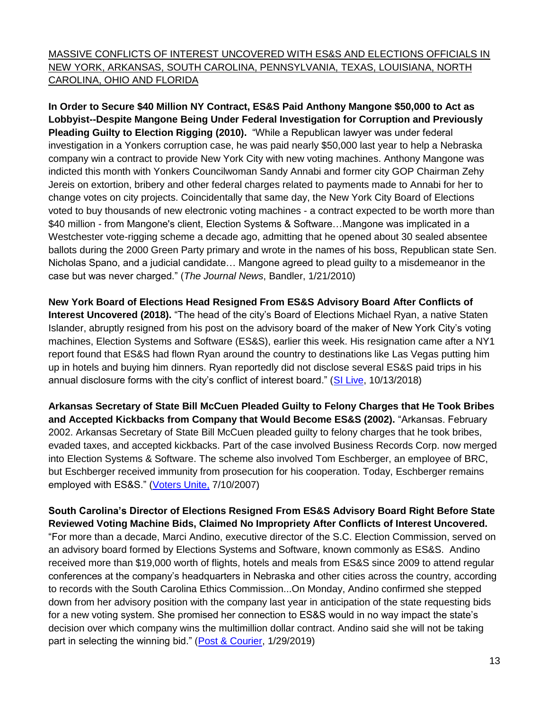MASSIVE CONFLICTS OF INTEREST UNCOVERED WITH ES&S AND ELECTIONS OFFICIALS IN NEW YORK, ARKANSAS, SOUTH CAROLINA, PENNSYLVANIA, TEXAS, LOUISIANA, NORTH CAROLINA, OHIO AND FLORIDA

**In Order to Secure \$40 Million NY Contract, ES&S Paid Anthony Mangone \$50,000 to Act as Lobbyist--Despite Mangone Being Under Federal Investigation for Corruption and Previously Pleading Guilty to Election Rigging (2010).** "While a Republican lawyer was under federal investigation in a Yonkers corruption case, he was paid nearly \$50,000 last year to help a Nebraska company win a contract to provide New York City with new voting machines. Anthony Mangone was indicted this month with Yonkers Councilwoman Sandy Annabi and former city GOP Chairman Zehy Jereis on extortion, bribery and other federal charges related to payments made to Annabi for her to change votes on city projects. Coincidentally that same day, the New York City Board of Elections voted to buy thousands of new electronic voting machines - a contract expected to be worth more than \$40 million - from Mangone's client, Election Systems & Software…Mangone was implicated in a Westchester vote-rigging scheme a decade ago, admitting that he opened about 30 sealed absentee ballots during the 2000 Green Party primary and wrote in the names of his boss, Republican state Sen. Nicholas Spano, and a judicial candidate… Mangone agreed to plead guilty to a misdemeanor in the case but was never charged." (*The Journal News*, Bandler, 1/21/2010)

**New York Board of Elections Head Resigned From ES&S Advisory Board After Conflicts of Interest Uncovered (2018).** "The head of the city's Board of Elections Michael Ryan, a native Staten Islander, abruptly resigned from his post on the advisory board of the maker of New York City's voting machines, Election Systems and Software (ES&S), earlier this week. His resignation came after a NY1 report found that ES&S had flown Ryan around the country to destinations like Las Vegas putting him up in hotels and buying him dinners. Ryan reportedly did not disclose several ES&S paid trips in his annual disclosure forms with the city's conflict of interest board." [\(SI Live,](https://www.silive.com/news/2018/12/board-of-elections-head-resigns-from-voting-machine-advisory-board.html) 10/13/2018)

**Arkansas Secretary of State Bill McCuen Pleaded Guilty to Felony Charges that He Took Bribes and Accepted Kickbacks from Company that Would Become ES&S (2002).** "Arkansas. February 2002. Arkansas Secretary of State Bill McCuen pleaded guilty to felony charges that he took bribes, evaded taxes, and accepted kickbacks. Part of the case involved Business Records Corp. now merged into Election Systems & Software. The scheme also involved Tom Eschberger, an employee of BRC, but Eschberger received immunity from prosecution for his cooperation. Today, Eschberger remains employed with ES&S." [\(Voters Unite,](http://www.votersunite.org/info/irresponsiblevendors.pdf) 7/10/2007)

**South Carolina's Director of Elections Resigned From ES&S Advisory Board Right Before State Reviewed Voting Machine Bids, Claimed No Impropriety After Conflicts of Interest Uncovered.** "For more than a decade, Marci Andino, executive director of the S.C. Election Commission, served on an advisory board formed by Elections Systems and Software, known commonly as ES&S. Andino received more than \$19,000 worth of flights, hotels and meals from ES&S since 2009 to attend regular conferences at the company's headquarters in Nebraska and other cities across the country, according to records with the South Carolina Ethics Commission...On Monday, Andino confirmed she stepped down from her advisory position with the company last year in anticipation of the state requesting bids for a new voting system. She promised her connection to ES&S would in no way impact the state's decision over which company wins the multimillion dollar contract. Andino said she will not be taking part in selecting the winning bid." [\(Post & Courier,](https://www.postandcourier.com/news/sc-election-director-s-ties-to-voting-company-creates-conflict/article_60e83cd2-23ee-11e9-bc66-4711ed41504e.html) 1/29/2019)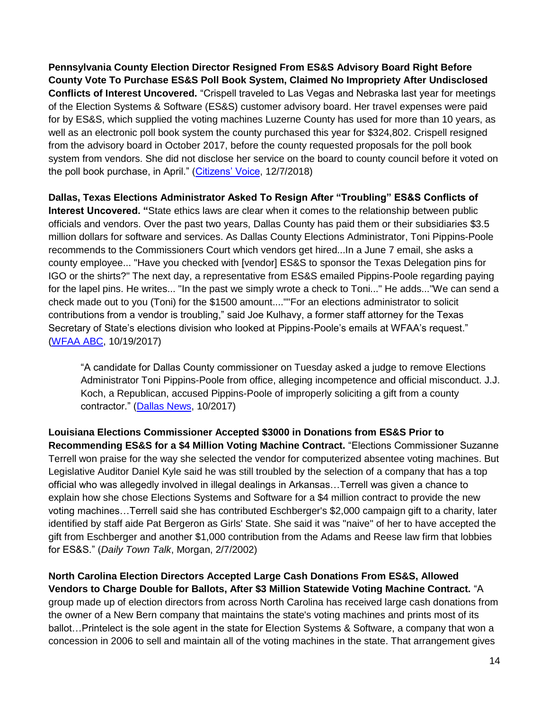**Pennsylvania County Election Director Resigned From ES&S Advisory Board Right Before County Vote To Purchase ES&S Poll Book System, Claimed No Impropriety After Undisclosed Conflicts of Interest Uncovered.** "Crispell traveled to Las Vegas and Nebraska last year for meetings of the Election Systems & Software (ES&S) customer advisory board. Her travel expenses were paid for by ES&S, which supplied the voting machines Luzerne County has used for more than 10 years, as well as an electronic poll book system the county purchased this year for \$324,802. Crispell resigned from the advisory board in October 2017, before the county requested proposals for the poll book system from vendors. She did not disclose her service on the board to county council before it voted on the poll book purchase, in April." [\(Citizens' Voice,](https://www.citizensvoice.com/news/county-council-members-want-probe-into-election-chief-s-trips-1.2419175#.XA3piCUflyM.twitter) 12/7/2018)

**Dallas, Texas Elections Administrator Asked To Resign After "Troubling" ES&S Conflicts of Interest Uncovered. "**State ethics laws are clear when it comes to the relationship between public officials and vendors. Over the past two years, Dallas County has paid them or their subsidiaries \$3.5 million dollars for software and services. As Dallas County Elections Administrator, Toni Pippins-Poole recommends to the Commissioners Court which vendors get hired...In a June 7 email, she asks a county employee... "Have you checked with [vendor] ES&S to sponsor the Texas Delegation pins for IGO or the shirts?" The next day, a representative from ES&S emailed Pippins-Poole regarding paying for the lapel pins. He writes... "In the past we simply wrote a check to Toni..." He adds..."We can send a check made out to you (Toni) for the \$1500 amount....""For an elections administrator to solicit contributions from a vendor is troubling," said Joe Kulhavy, a former staff attorney for the Texas Secretary of State's elections division who looked at Pippins-Poole's emails at WFAA's request." [\(WFAA ABC,](https://www.wfaa.com/article/news/local/investigates/emails-reveal-dallas-co-elections-administrator-soliciting-favors-from-vendors/484425083) 10/19/2017)

"A candidate for Dallas County commissioner on Tuesday asked a judge to remove Elections Administrator Toni Pippins-Poole from office, alleging incompetence and official misconduct. J.J. Koch, a Republican, accused Pippins-Poole of improperly soliciting a gift from a county contractor." [\(Dallas News,](https://www.dallasnews.com/news/dallas-county/2017/10/24/candidate-dallas-county-commissioner-asks-judge-remove-elections-administrator-office) 10/2017)

**Louisiana Elections Commissioner Accepted \$3000 in Donations from ES&S Prior to Recommending ES&S for a \$4 Million Voting Machine Contract.** "Elections Commissioner Suzanne Terrell won praise for the way she selected the vendor for computerized absentee voting machines. But Legislative Auditor Daniel Kyle said he was still troubled by the selection of a company that has a top official who was allegedly involved in illegal dealings in Arkansas…Terrell was given a chance to explain how she chose Elections Systems and Software for a \$4 million contract to provide the new voting machines…Terrell said she has contributed Eschberger's \$2,000 campaign gift to a charity, later identified by staff aide Pat Bergeron as Girls' State. She said it was "naive" of her to have accepted the gift from Eschberger and another \$1,000 contribution from the Adams and Reese law firm that lobbies for ES&S." (*Daily Town Talk*, Morgan, 2/7/2002)

## **North Carolina Election Directors Accepted Large Cash Donations From ES&S, Allowed**

**Vendors to Charge Double for Ballots, After \$3 Million Statewide Voting Machine Contract.** "A group made up of election directors from across North Carolina has received large cash donations from the owner of a New Bern company that maintains the state's voting machines and prints most of its ballot…Printelect is the sole agent in the state for Election Systems & Software, a company that won a concession in 2006 to sell and maintain all of the voting machines in the state. That arrangement gives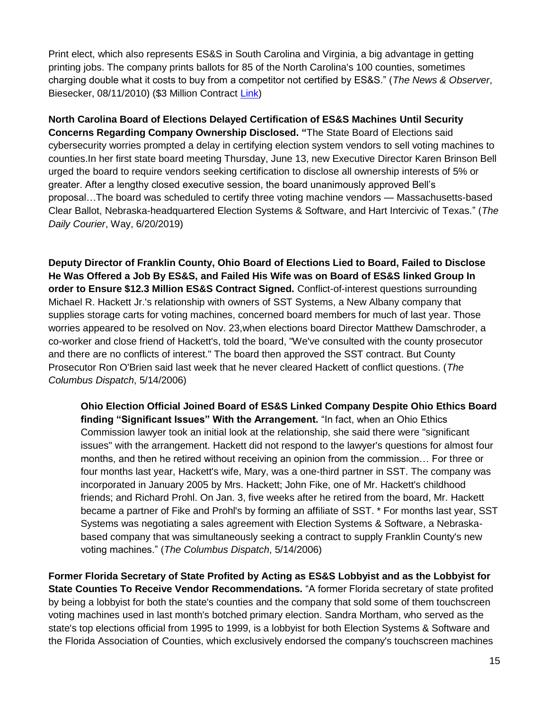Print elect, which also represents ES&S in South Carolina and Virginia, a big advantage in getting printing jobs. The company prints ballots for 85 of the North Carolina's 100 counties, sometimes charging double what it costs to buy from a competitor not certified by ES&S." (*The News & Observer*, Biesecker, 08/11/2010) (\$3 Million Contract [Link\)](https://s3.amazonaws.com/dl.ncsbe.gov/sboe/numbermemo/2006/2006-3_StateBoardTraining_Seminar.pdf)

**North Carolina Board of Elections Delayed Certification of ES&S Machines Until Security Concerns Regarding Company Ownership Disclosed. "**The State Board of Elections said cybersecurity worries prompted a delay in certifying election system vendors to sell voting machines to counties.In her first state board meeting Thursday, June 13, new Executive Director Karen Brinson Bell urged the board to require vendors seeking certification to disclose all ownership interests of 5% or greater. After a lengthy closed executive session, the board unanimously approved Bell's proposal…The board was scheduled to certify three voting machine vendors — Massachusetts-based Clear Ballot, Nebraska-headquartered Election Systems & Software, and Hart Intercivic of Texas." (*The Daily Courier*, Way, 6/20/2019)

**Deputy Director of Franklin County, Ohio Board of Elections Lied to Board, Failed to Disclose He Was Offered a Job By ES&S, and Failed His Wife was on Board of ES&S linked Group In order to Ensure \$12.3 Million ES&S Contract Signed.** Conflict-of-interest questions surrounding Michael R. Hackett Jr.'s relationship with owners of SST Systems, a New Albany company that supplies storage carts for voting machines, concerned board members for much of last year. Those worries appeared to be resolved on Nov. 23,when elections board Director Matthew Damschroder, a co-worker and close friend of Hackett's, told the board, "We've consulted with the county prosecutor and there are no conflicts of interest." The board then approved the SST contract. But County Prosecutor Ron O'Brien said last week that he never cleared Hackett of conflict questions. (*The Columbus Dispatch*, 5/14/2006)

**Ohio Election Official Joined Board of ES&S Linked Company Despite Ohio Ethics Board finding "Significant Issues" With the Arrangement.** "In fact, when an Ohio Ethics Commission lawyer took an initial look at the relationship, she said there were "significant issues" with the arrangement. Hackett did not respond to the lawyer's questions for almost four months, and then he retired without receiving an opinion from the commission… For three or four months last year, Hackett's wife, Mary, was a one-third partner in SST. The company was incorporated in January 2005 by Mrs. Hackett; John Fike, one of Mr. Hackett's childhood friends; and Richard Prohl. On Jan. 3, five weeks after he retired from the board, Mr. Hackett became a partner of Fike and Prohl's by forming an affiliate of SST. \* For months last year, SST Systems was negotiating a sales agreement with Election Systems & Software, a Nebraskabased company that was simultaneously seeking a contract to supply Franklin County's new voting machines." (*The Columbus Dispatch*, 5/14/2006)

**Former Florida Secretary of State Profited by Acting as ES&S Lobbyist and as the Lobbyist for State Counties To Receive Vendor Recommendations.** "A former Florida secretary of state profited by being a lobbyist for both the state's counties and the company that sold some of them touchscreen voting machines used in last month's botched primary election. Sandra Mortham, who served as the state's top elections official from 1995 to 1999, is a lobbyist for both Election Systems & Software and the Florida Association of Counties, which exclusively endorsed the company's touchscreen machines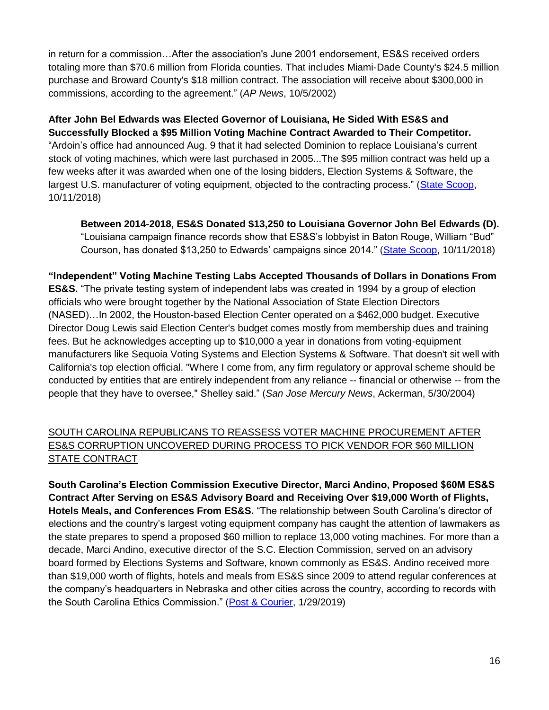in return for a commission…After the association's June 2001 endorsement, ES&S received orders totaling more than \$70.6 million from Florida counties. That includes Miami-Dade County's \$24.5 million purchase and Broward County's \$18 million contract. The association will receive about \$300,000 in commissions, according to the agreement." (*AP News*, 10/5/2002)

**After John Bel Edwards was Elected Governor of Louisiana, He Sided With ES&S and Successfully Blocked a \$95 Million Voting Machine Contract Awarded to Their Competitor.** "Ardoin's office had announced Aug. 9 that it had selected Dominion to replace Louisiana's current stock of voting machines, which were last purchased in 2005...The \$95 million contract was held up a few weeks after it was awarded when one of the losing bidders, Election Systems & Software, the largest U.S. manufacturer of voting equipment, objected to the contracting process." [\(State Scoop,](https://statescoop.com/louisiana-cancels-95-million-contract-for-new-voting-machines/) 10/11/2018)

**Between 2014-2018, ES&S Donated \$13,250 to Louisiana Governor John Bel Edwards (D).**  "Louisiana campaign finance records show that ES&S's lobbyist in Baton Rouge, William "Bud" Courson, has donated \$13,250 to Edwards' campaigns since 2014." [\(State Scoop,](https://statescoop.com/louisiana-cancels-95-million-contract-for-new-voting-machines/) 10/11/2018)

**"Independent" Voting Machine Testing Labs Accepted Thousands of Dollars in Donations From ES&S.** "The private testing system of independent labs was created in 1994 by a group of election officials who were brought together by the National Association of State Election Directors (NASED)…In 2002, the Houston-based Election Center operated on a \$462,000 budget. Executive Director Doug Lewis said Election Center's budget comes mostly from membership dues and training fees. But he acknowledges accepting up to \$10,000 a year in donations from voting-equipment manufacturers like Sequoia Voting Systems and Election Systems & Software. That doesn't sit well with California's top election official. "Where I come from, any firm regulatory or approval scheme should be conducted by entities that are entirely independent from any reliance -- financial or otherwise -- from the people that they have to oversee," Shelley said." (*San Jose Mercury News*, Ackerman, 5/30/2004)

## SOUTH CAROLINA REPUBLICANS TO REASSESS VOTER MACHINE PROCUREMENT AFTER ES&S CORRUPTION UNCOVERED DURING PROCESS TO PICK VENDOR FOR \$60 MILLION STATE CONTRACT

**South Carolina's Election Commission Executive Director, Marci Andino, Proposed \$60M ES&S Contract After Serving on ES&S Advisory Board and Receiving Over \$19,000 Worth of Flights, Hotels Meals, and Conferences From ES&S.** "The relationship between South Carolina's director of elections and the country's largest voting equipment company has caught the attention of lawmakers as the state prepares to spend a proposed \$60 million to replace 13,000 voting machines. For more than a decade, Marci Andino, executive director of the S.C. Election Commission, served on an advisory board formed by Elections Systems and Software, known commonly as ES&S. Andino received more than \$19,000 worth of flights, hotels and meals from ES&S since 2009 to attend regular conferences at the company's headquarters in Nebraska and other cities across the country, according to records with the South Carolina Ethics Commission." [\(Post & Courier,](https://www.postandcourier.com/news/sc-election-director-s-ties-to-voting-company-creates-conflict/article_60e83cd2-23ee-11e9-bc66-4711ed41504e.html) 1/29/2019)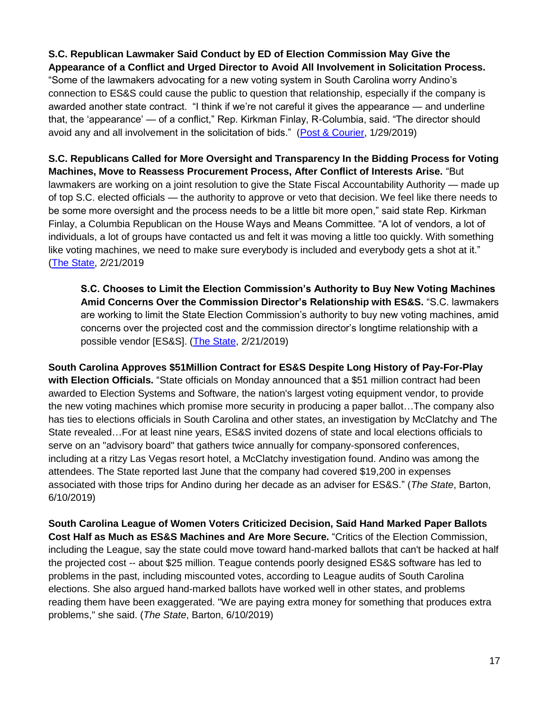#### **S.C. Republican Lawmaker Said Conduct by ED of Election Commission May Give the Appearance of a Conflict and Urged Director to Avoid All Involvement in Solicitation Process.**

"Some of the lawmakers advocating for a new voting system in South Carolina worry Andino's connection to ES&S could cause the public to question that relationship, especially if the company is awarded another state contract. "I think if we're not careful it gives the appearance — and underline that, the 'appearance' — of a conflict," Rep. Kirkman Finlay, R-Columbia, said. "The director should avoid any and all involvement in the solicitation of bids." [\(Post & Courier,](https://www.postandcourier.com/news/sc-election-director-s-ties-to-voting-company-creates-conflict/article_60e83cd2-23ee-11e9-bc66-4711ed41504e.html) 1/29/2019)

**S.C. Republicans Called for More Oversight and Transparency In the Bidding Process for Voting Machines, Move to Reassess Procurement Process, After Conflict of Interests Arise.** "But lawmakers are working on a joint resolution to give the State Fiscal Accountability Authority — made up of top S.C. elected officials — the authority to approve or veto that decision. We feel like there needs to be some more oversight and the process needs to be a little bit more open," said state Rep. Kirkman Finlay, a Columbia Republican on the House Ways and Means Committee. "A lot of vendors, a lot of individuals, a lot of groups have contacted us and felt it was moving a little too quickly. With something like voting machines, we need to make sure everybody is included and everybody gets a shot at it." [\(The State,](https://www.thestate.com/news/politics-government/article226564909.html) 2/21/2019

**S.C. Chooses to Limit the Election Commission's Authority to Buy New Voting Machines Amid Concerns Over the Commission Director's Relationship with ES&S.** "S.C. lawmakers are working to limit the State Election Commission's authority to buy new voting machines, amid concerns over the projected cost and the commission director's longtime relationship with a possible vendor [ES&S]. [\(The State,](https://www.thestate.com/news/politics-government/article226564909.html) 2/21/2019)

**South Carolina Approves \$51Million Contract for ES&S Despite Long History of Pay-For-Play with Election Officials.** "State officials on Monday announced that a \$51 million contract had been awarded to Election Systems and Software, the nation's largest voting equipment vendor, to provide the new voting machines which promise more security in producing a paper ballot…The company also has ties to elections officials in South Carolina and other states, an investigation by McClatchy and The State revealed…For at least nine years, ES&S invited dozens of state and local elections officials to serve on an "advisory board" that gathers twice annually for company-sponsored conferences, including at a ritzy Las Vegas resort hotel, a McClatchy investigation found. Andino was among the attendees. The State reported last June that the company had covered \$19,200 in expenses associated with those trips for Andino during her decade as an adviser for ES&S." (*The State*, Barton, 6/10/2019)

**South Carolina League of Women Voters Criticized Decision, Said Hand Marked Paper Ballots Cost Half as Much as ES&S Machines and Are More Secure.** "Critics of the Election Commission, including the League, say the state could move toward hand-marked ballots that can't be hacked at half the projected cost -- about \$25 million. Teague contends poorly designed ES&S software has led to problems in the past, including miscounted votes, according to League audits of South Carolina elections. She also argued hand-marked ballots have worked well in other states, and problems reading them have been exaggerated. "We are paying extra money for something that produces extra problems," she said. (*The State*, Barton, 6/10/2019)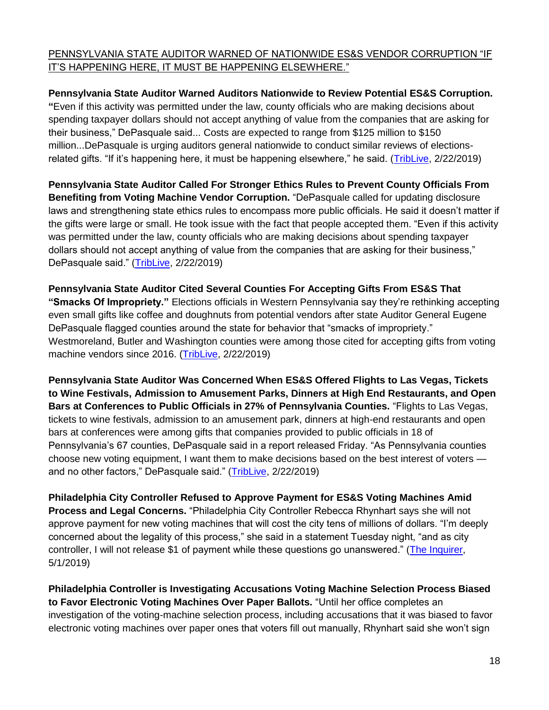### PENNSYLVANIA STATE AUDITOR WARNED OF NATIONWIDE ES&S VENDOR CORRUPTION "IF IT'S HAPPENING HERE, IT MUST BE HAPPENING ELSEWHERE."

**Pennsylvania State Auditor Warned Auditors Nationwide to Review Potential ES&S Corruption. "**Even if this activity was permitted under the law, county officials who are making decisions about spending taxpayer dollars should not accept anything of value from the companies that are asking for their business," DePasquale said... Costs are expected to range from \$125 million to \$150 million...DePasquale is urging auditors general nationwide to conduct similar reviews of electionsrelated gifts. "If it's happening here, it must be happening elsewhere," he said. [\(TribLive,](https://triblive.com/news/regional/3-western-pa-counties-flagged-for-accepting-gifts-from-voting-machine-vendors/) 2/22/2019)

**Pennsylvania State Auditor Called For Stronger Ethics Rules to Prevent County Officials From Benefiting from Voting Machine Vendor Corruption.** "DePasquale called for updating disclosure laws and strengthening state ethics rules to encompass more public officials. He said it doesn't matter if the gifts were large or small. He took issue with the fact that people accepted them. "Even if this activity was permitted under the law, county officials who are making decisions about spending taxpayer dollars should not accept anything of value from the companies that are asking for their business," DePasquale said." [\(TribLive,](https://triblive.com/news/regional/3-western-pa-counties-flagged-for-accepting-gifts-from-voting-machine-vendors/) 2/22/2019)

**Pennsylvania State Auditor Cited Several Counties For Accepting Gifts From ES&S That "Smacks Of Impropriety."** Elections officials in Western Pennsylvania say they're rethinking accepting even small gifts like coffee and doughnuts from potential vendors after state Auditor General Eugene DePasquale flagged counties around the state for behavior that "smacks of impropriety." Westmoreland, Butler and Washington counties were among those cited for accepting gifts from voting machine vendors since 2016. [\(TribLive,](https://triblive.com/news/regional/3-western-pa-counties-flagged-for-accepting-gifts-from-voting-machine-vendors/) 2/22/2019)

**Pennsylvania State Auditor Was Concerned When ES&S Offered Flights to Las Vegas, Tickets to Wine Festivals, Admission to Amusement Parks, Dinners at High End Restaurants, and Open Bars at Conferences to Public Officials in 27% of Pennsylvania Counties.** "Flights to Las Vegas, tickets to wine festivals, admission to an amusement park, dinners at high-end restaurants and open bars at conferences were among gifts that companies provided to public officials in 18 of Pennsylvania's 67 counties, DePasquale said in a report released Friday. "As Pennsylvania counties choose new voting equipment, I want them to make decisions based on the best interest of voters and no other factors," DePasquale said." [\(TribLive,](https://triblive.com/news/regional/3-western-pa-counties-flagged-for-accepting-gifts-from-voting-machine-vendors/) 2/22/2019)

**Philadelphia City Controller Refused to Approve Payment for ES&S Voting Machines Amid Process and Legal Concerns.** "Philadelphia City Controller Rebecca Rhynhart says she will not approve payment for new voting machines that will cost the city tens of millions of dollars. "I'm deeply concerned about the legality of this process," she said in a statement Tuesday night, "and as city controller, I will not release \$1 of payment while these questions go unanswered." [\(The Inquirer,](https://www.philly.com/news/philly-voting-machines-city-controller-rebecca-rhynhart-20190501.html) 5/1/2019)

**Philadelphia Controller is Investigating Accusations Voting Machine Selection Process Biased to Favor Electronic Voting Machines Over Paper Ballots.** "Until her office completes an investigation of the voting-machine selection process, including accusations that it was biased to favor electronic voting machines over paper ones that voters fill out manually, Rhynhart said she won't sign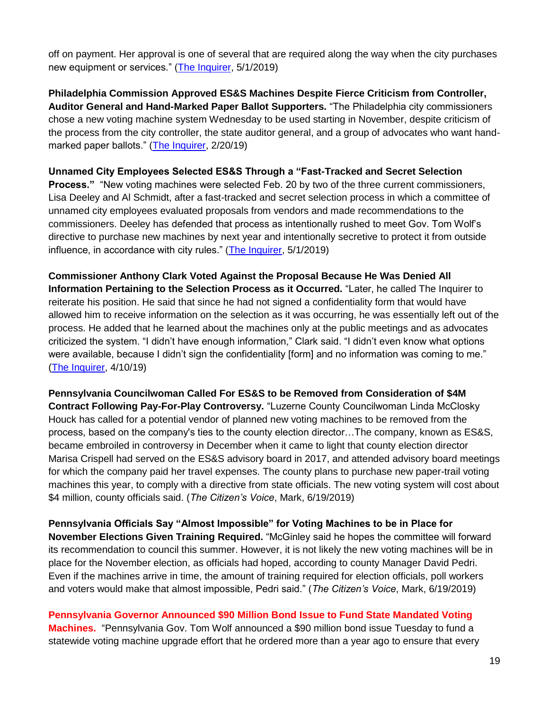off on payment. Her approval is one of several that are required along the way when the city purchases new equipment or services." [\(The Inquirer,](https://www.philly.com/news/philly-voting-machines-city-controller-rebecca-rhynhart-20190501.html) 5/1/2019)

**Philadelphia Commission Approved ES&S Machines Despite Fierce Criticism from Controller, Auditor General and Hand-Marked Paper Ballot Supporters.** "The Philadelphia city commissioners chose a new voting machine system Wednesday to be used starting in November, despite criticism of the process from the city controller, the state auditor general, and a group of advocates who want handmarked paper ballots." [\(The Inquirer,](https://www.philly.com/politics/philadelphia/philly-new-voting-machines-paper-ballots-20190220.html) 2/20/19)

#### **Unnamed City Employees Selected ES&S Through a "Fast-Tracked and Secret Selection**

**Process."** "New voting machines were selected Feb. 20 by two of the three current commissioners, Lisa Deeley and Al Schmidt, after a fast-tracked and secret selection process in which a committee of unnamed city employees evaluated proposals from vendors and made recommendations to the commissioners. Deeley has defended that process as intentionally rushed to meet Gov. Tom Wolf's directive to purchase new machines by next year and intentionally secretive to protect it from outside influence, in accordance with city rules." [\(The Inquirer,](https://www.philly.com/news/philly-voting-machines-city-controller-rebecca-rhynhart-20190501.html) 5/1/2019)

**Commissioner Anthony Clark Voted Against the Proposal Because He Was Denied All Information Pertaining to the Selection Process as it Occurred.** "Later, he called The Inquirer to reiterate his position. He said that since he had not signed a confidentiality form that would have allowed him to receive information on the selection as it was occurring, he was essentially left out of the process. He added that he learned about the machines only at the public meetings and as advocates criticized the system. "I didn't have enough information," Clark said. "I didn't even know what options were available, because I didn't sign the confidentiality [form] and no information was coming to me." [\(The Inquirer,](https://www.philly.com/politics/philadelphia/philly-voting-machines-anthony-clark-rebecca-rhynhart-20190410.html) 4/10/19)

**Pennsylvania Councilwoman Called For ES&S to be Removed from Consideration of \$4M Contract Following Pay-For-Play Controversy.** "Luzerne County Councilwoman Linda McClosky Houck has called for a potential vendor of planned new voting machines to be removed from the process, based on the company's ties to the county election director…The company, known as ES&S, became embroiled in controversy in December when it came to light that county election director Marisa Crispell had served on the ES&S advisory board in 2017, and attended advisory board meetings for which the company paid her travel expenses. The county plans to purchase new paper-trail voting machines this year, to comply with a directive from state officials. The new voting system will cost about \$4 million, county officials said. (*The Citizen's Voice*, Mark, 6/19/2019)

**Pennsylvania Officials Say "Almost Impossible" for Voting Machines to be in Place for November Elections Given Training Required.** "McGinley said he hopes the committee will forward its recommendation to council this summer. However, it is not likely the new voting machines will be in place for the November election, as officials had hoped, according to county Manager David Pedri. Even if the machines arrive in time, the amount of training required for election officials, poll workers and voters would make that almost impossible, Pedri said." (*The Citizen's Voice*, Mark, 6/19/2019)

**Pennsylvania Governor Announced \$90 Million Bond Issue to Fund State Mandated Voting Machines.** "Pennsylvania Gov. Tom Wolf announced a \$90 million bond issue Tuesday to fund a statewide voting machine upgrade effort that he ordered more than a year ago to ensure that every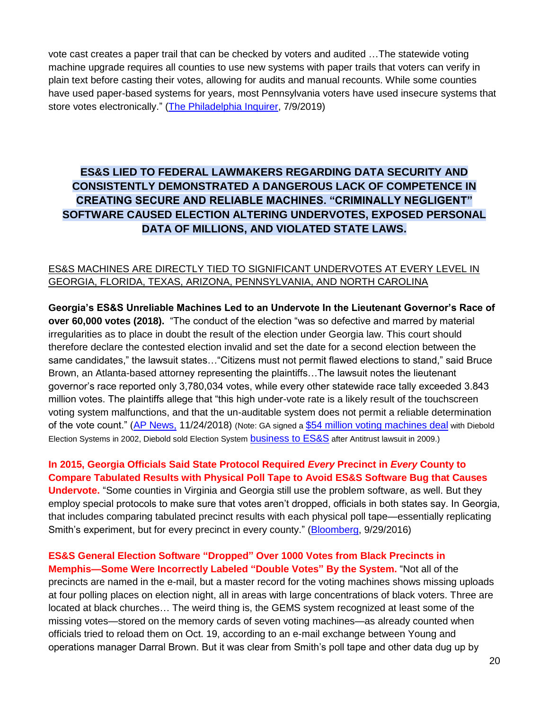vote cast creates a paper trail that can be checked by voters and audited …The statewide voting machine upgrade requires all counties to use new systems with paper trails that voters can verify in plain text before casting their votes, allowing for audits and manual recounts. While some counties have used paper-based systems for years, most Pennsylvania voters have used insecure systems that store votes electronically." [\(The Philadelphia Inquirer,](https://www.inquirer.com/politics/pennsylvania/pa-voting-machine-funding-90-million-20190709.html) 7/9/2019)

## **ES&S LIED TO FEDERAL LAWMAKERS REGARDING DATA SECURITY AND CONSISTENTLY DEMONSTRATED A DANGEROUS LACK OF COMPETENCE IN CREATING SECURE AND RELIABLE MACHINES. "CRIMINALLY NEGLIGENT" SOFTWARE CAUSED ELECTION ALTERING UNDERVOTES, EXPOSED PERSONAL DATA OF MILLIONS, AND VIOLATED STATE LAWS.**

#### ES&S MACHINES ARE DIRECTLY TIED TO SIGNIFICANT UNDERVOTES AT EVERY LEVEL IN GEORGIA, FLORIDA, TEXAS, ARIZONA, PENNSYLVANIA, AND NORTH CAROLINA

**Georgia's ES&S Unreliable Machines Led to an Undervote In the Lieutenant Governor's Race of over 60,000 votes (2018).** "The conduct of the election "was so defective and marred by material irregularities as to place in doubt the result of the election under Georgia law. This court should therefore declare the contested election invalid and set the date for a second election between the same candidates," the lawsuit states…"Citizens must not permit flawed elections to stand," said Bruce Brown, an Atlanta-based attorney representing the plaintiffs…The lawsuit notes the lieutenant governor's race reported only 3,780,034 votes, while every other statewide race tally exceeded 3.843 million votes. The plaintiffs allege that "this high under-vote rate is a likely result of the touchscreen voting system malfunctions, and that the un-auditable system does not permit a reliable determination of the vote count." [\(AP News,](https://apnews.com/b3e8f250f50244478ae3bbf19399f6ff) 11/24/2018) (Note: GA signed a [\\$54 million voting machines deal](http://www.govtech.com/security/Georgia-Finalizes-Electronic-Voting-Contract.html) with Diebold Election Systems in 2002, Diebold sold Election System **[business to ES&S](http://news.dieboldnixdorf.com/press-releases/diebold-sells-us-elections-systems-business-to-ess.htm)** after Antitrust lawsuit in 2009.)

#### **In 2015, Georgia Officials Said State Protocol Required** *Every* **Precinct in** *Every* **County to Compare Tabulated Results with Physical Poll Tape to Avoid ES&S Software Bug that Causes**

**Undervote.** "Some counties in Virginia and Georgia still use the problem software, as well. But they employ special protocols to make sure that votes aren't dropped, officials in both states say. In Georgia, that includes comparing tabulated precinct results with each physical poll tape—essentially replicating Smith's experiment, but for every precinct in every county." [\(Bloomberg,](https://www.bloomberg.com/features/2016-voting-technology/) 9/29/2016)

## **ES&S General Election Software "Dropped" Over 1000 Votes from Black Precincts in Memphis—Some Were Incorrectly Labeled "Double Votes" By the System.** "Not all of the

precincts are named in the e-mail, but a master record for the voting machines shows missing uploads at four polling places on election night, all in areas with large concentrations of black voters. Three are located at black churches… The weird thing is, the GEMS system recognized at least some of the missing votes—stored on the memory cards of seven voting machines—as already counted when officials tried to reload them on Oct. 19, according to an e-mail exchange between Young and operations manager Darral Brown. But it was clear from Smith's poll tape and other data dug up by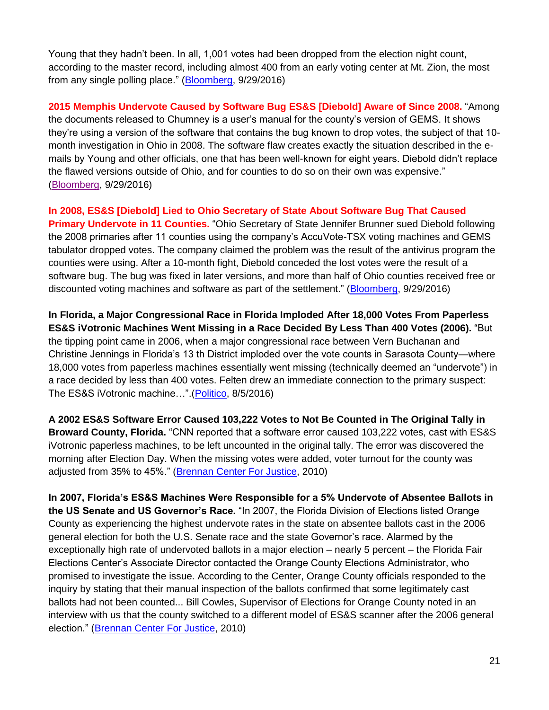Young that they hadn't been. In all, 1,001 votes had been dropped from the election night count, according to the master record, including almost 400 from an early voting center at Mt. Zion, the most from any single polling place." [\(Bloomberg,](https://www.bloomberg.com/features/2016-voting-technology/) 9/29/2016)

**2015 Memphis Undervote Caused by Software Bug ES&S [Diebold] Aware of Since 2008.** "Among the documents released to Chumney is a user's manual for the county's version of GEMS. It shows they're using a version of the software that contains the bug known to drop votes, the subject of that 10 month investigation in Ohio in 2008. The software flaw creates exactly the situation described in the emails by Young and other officials, one that has been well-known for eight years. Diebold didn't replace the flawed versions outside of Ohio, and for counties to do so on their own was expensive." [\(Bloomberg,](https://www.bloomberg.com/features/2016-voting-technology/) 9/29/2016)

**In 2008, ES&S [Diebold] Lied to Ohio Secretary of State About Software Bug That Caused Primary Undervote in 11 Counties.** "Ohio Secretary of State Jennifer Brunner sued Diebold following the 2008 primaries after 11 counties using the company's AccuVote-TSX voting machines and GEMS tabulator dropped votes. The company claimed the problem was the result of the antivirus program the counties were using. After a 10-month fight, Diebold conceded the lost votes were the result of a software bug. The bug was fixed in later versions, and more than half of Ohio counties received free or discounted voting machines and software as part of the settlement." [\(Bloomberg,](https://www.bloomberg.com/features/2016-voting-technology/) 9/29/2016)

**In Florida, a Major Congressional Race in Florida Imploded After 18,000 Votes From Paperless ES&S iVotronic Machines Went Missing in a Race Decided By Less Than 400 Votes (2006).** "But the tipping point came in 2006, when a major congressional race between Vern Buchanan and Christine Jennings in Florida's 13 th District imploded over the vote counts in Sarasota County—where 18,000 votes from paperless machines essentially went missing (technically deemed an "undervote") in a race decided by less than 400 votes. Felten drew an immediate connection to the primary suspect: The ES&S iVotronic machine...".[\(Politico,](https://www.politico.com/magazine/story/2016/08/2016-elections-russia-hack-how-to-hack-an-election-in-seven-minutes-214144) 8/5/2016)

**A 2002 ES&S Software Error Caused 103,222 Votes to Not Be Counted in The Original Tally in Broward County, Florida.** "CNN reported that a software error caused 103,222 votes, cast with ES&S iVotronic paperless machines, to be left uncounted in the original tally. The error was discovered the morning after Election Day. When the missing votes were added, voter turnout for the county was adjusted from 35% to 45%." [\(Brennan Center For Justice,](https://www.brennancenter.org/sites/default/files/legacy/Democracy/Voting_Machine_Failures_Online.pdf) 2010)

**In 2007, Florida's ES&S Machines Were Responsible for a 5% Undervote of Absentee Ballots in the US Senate and US Governor's Race.** "In 2007, the Florida Division of Elections listed Orange County as experiencing the highest undervote rates in the state on absentee ballots cast in the 2006 general election for both the U.S. Senate race and the state Governor's race. Alarmed by the exceptionally high rate of undervoted ballots in a major election – nearly 5 percent – the Florida Fair Elections Center's Associate Director contacted the Orange County Elections Administrator, who promised to investigate the issue. According to the Center, Orange County officials responded to the inquiry by stating that their manual inspection of the ballots confirmed that some legitimately cast ballots had not been counted... Bill Cowles, Supervisor of Elections for Orange County noted in an interview with us that the county switched to a different model of ES&S scanner after the 2006 general election." [\(Brennan Center For Justice,](https://www.brennancenter.org/sites/default/files/legacy/Democracy/Voting_Machine_Failures_Online.pdf) 2010)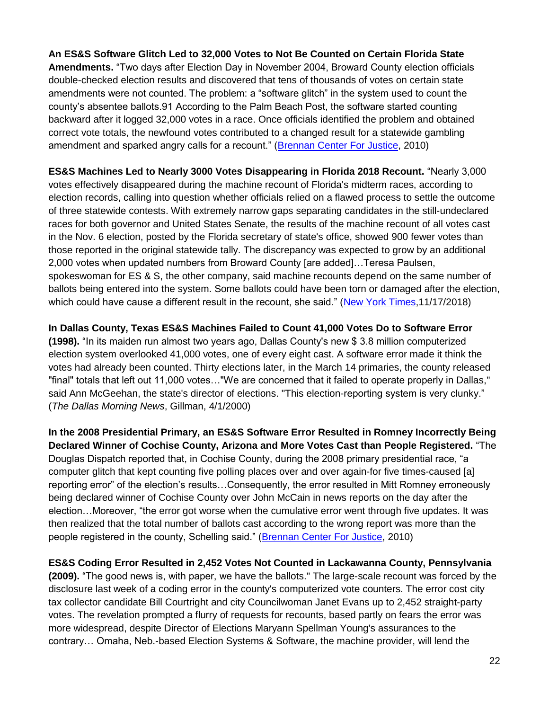**An ES&S Software Glitch Led to 32,000 Votes to Not Be Counted on Certain Florida State Amendments.** "Two days after Election Day in November 2004, Broward County election officials double-checked election results and discovered that tens of thousands of votes on certain state amendments were not counted. The problem: a "software glitch" in the system used to count the county's absentee ballots.91 According to the Palm Beach Post, the software started counting backward after it logged 32,000 votes in a race. Once officials identified the problem and obtained correct vote totals, the newfound votes contributed to a changed result for a statewide gambling amendment and sparked angry calls for a recount." [\(Brennan Center For Justice,](https://www.brennancenter.org/sites/default/files/legacy/Democracy/Voting_Machine_Failures_Online.pdf) 2010)

**ES&S Machines Led to Nearly 3000 Votes Disappearing in Florida 2018 Recount.** "Nearly 3,000 votes effectively disappeared during the machine recount of Florida's midterm races, according to election records, calling into question whether officials relied on a flawed process to settle the outcome of three statewide contests. With extremely narrow gaps separating candidates in the still-undeclared races for both governor and United States Senate, the results of the machine recount of all votes cast in the Nov. 6 election, posted by the Florida secretary of state's office, showed 900 fewer votes than those reported in the original statewide tally. The discrepancy was expected to grow by an additional 2,000 votes when updated numbers from Broward County [are added]…Teresa Paulsen, spokeswoman for ES & S, the other company, said machine recounts depend on the same number of ballots being entered into the system. Some ballots could have been torn or damaged after the election, which could have cause a different result in the recount, she said." [\(New York Times,](https://www.nytimes.com/2018/11/16/us/voting-machines-florida.html)11/17/2018)

**In Dallas County, Texas ES&S Machines Failed to Count 41,000 Votes Do to Software Error (1998).** "In its maiden run almost two years ago, Dallas County's new \$ 3.8 million computerized election system overlooked 41,000 votes, one of every eight cast. A software error made it think the votes had already been counted. Thirty elections later, in the March 14 primaries, the county released "final" totals that left out 11,000 votes…"We are concerned that it failed to operate properly in Dallas," said Ann McGeehan, the state's director of elections. "This election-reporting system is very clunky." (*The Dallas Morning News*, Gillman, 4/1/2000)

**In the 2008 Presidential Primary, an ES&S Software Error Resulted in Romney Incorrectly Being Declared Winner of Cochise County, Arizona and More Votes Cast than People Registered.** "The Douglas Dispatch reported that, in Cochise County, during the 2008 primary presidential race, "a computer glitch that kept counting five polling places over and over again-for five times-caused [a] reporting error" of the election's results…Consequently, the error resulted in Mitt Romney erroneously being declared winner of Cochise County over John McCain in news reports on the day after the election…Moreover, "the error got worse when the cumulative error went through five updates. It was then realized that the total number of ballots cast according to the wrong report was more than the people registered in the county, Schelling said." [\(Brennan Center For Justice,](https://www.brennancenter.org/sites/default/files/legacy/Democracy/Voting_Machine_Failures_Online.pdf) 2010)

**ES&S Coding Error Resulted in 2,452 Votes Not Counted in Lackawanna County, Pennsylvania** 

**(2009).** "The good news is, with paper, we have the ballots." The large-scale recount was forced by the disclosure last week of a coding error in the county's computerized vote counters. The error cost city tax collector candidate Bill Courtright and city Councilwoman Janet Evans up to 2,452 straight-party votes. The revelation prompted a flurry of requests for recounts, based partly on fears the error was more widespread, despite Director of Elections Maryann Spellman Young's assurances to the contrary… Omaha, Neb.-based Election Systems & Software, the machine provider, will lend the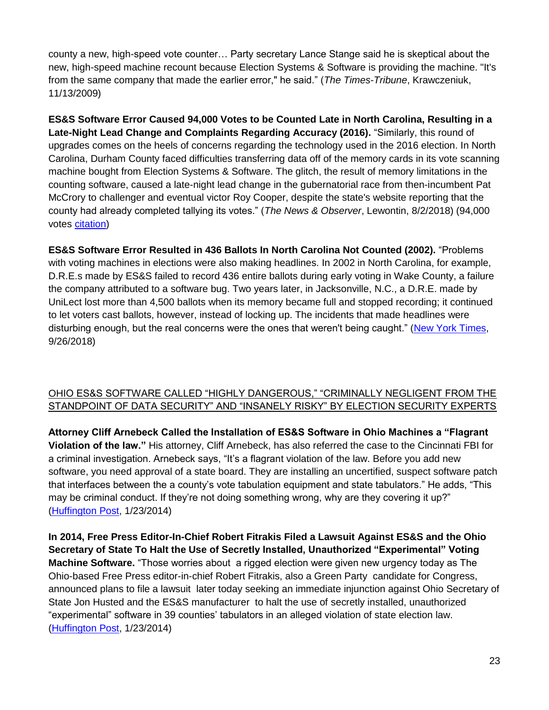county a new, high-speed vote counter… Party secretary Lance Stange said he is skeptical about the new, high-speed machine recount because Election Systems & Software is providing the machine. "It's from the same company that made the earlier error," he said." (*The Times-Tribune*, Krawczeniuk, 11/13/2009)

**ES&S Software Error Caused 94,000 Votes to be Counted Late in North Carolina, Resulting in a Late-Night Lead Change and Complaints Regarding Accuracy (2016).** "Similarly, this round of upgrades comes on the heels of concerns regarding the technology used in the 2016 election. In North Carolina, Durham County faced difficulties transferring data off of the memory cards in its vote scanning machine bought from Election Systems & Software. The glitch, the result of memory limitations in the counting software, caused a late-night lead change in the gubernatorial race from then-incumbent Pat McCrory to challenger and eventual victor Roy Cooper, despite the state's website reporting that the county had already completed tallying its votes." (*The News & Observer*, Lewontin, 8/2/2018) (94,000 votes [citation\)](https://www.newsobserver.com/news/local/community/durham-news/article115681693.html)

**ES&S Software Error Resulted in 436 Ballots In North Carolina Not Counted (2002).** "Problems with voting machines in elections were also making headlines. In 2002 in North Carolina, for example, D.R.E.s made by ES&S failed to record 436 entire ballots during early voting in Wake County, a failure the company attributed to a software bug. Two years later, in Jacksonville, N.C., a D.R.E. made by UniLect lost more than 4,500 ballots when its memory became full and stopped recording; it continued to let voters cast ballots, however, instead of locking up. The incidents that made headlines were disturbing enough, but the real concerns were the ones that weren't being caught." [\(New York Times,](https://www.nytimes.com/2018/09/26/magazine/election-security-crisis-midterms.html) 9/26/2018)

## OHIO ES&S SOFTWARE CALLED "HIGHLY DANGEROUS," "CRIMINALLY NEGLIGENT FROM THE STANDPOINT OF DATA SECURITY" AND "INSANELY RISKY" BY ELECTION SECURITY EXPERTS

**Attorney Cliff Arnebeck Called the Installation of ES&S Software in Ohio Machines a "Flagrant Violation of the law."** His attorney, Cliff Arnebeck, has also referred the case to the Cincinnati FBI for a criminal investigation. Arnebeck says, "It's a flagrant violation of the law. Before you add new software, you need approval of a state board. They are installing an uncertified, suspect software patch that interfaces between the a county's vote tabulation equipment and state tabulators." He adds, "This may be criminal conduct. If they're not doing something wrong, why are they covering it up?" [\(Huffington Post,](https://www.huffingtonpost.com/art-levine/mia-in-voting-machine-war_b_2054411.html) 1/23/2014)

**In 2014, Free Press Editor-In-Chief Robert Fitrakis Filed a Lawsuit Against ES&S and the Ohio Secretary of State To Halt the Use of Secretly Installed, Unauthorized "Experimental" Voting Machine Software.** "Those worries about a rigged election were given new urgency today as The Ohio-based Free Press editor-in-chief Robert Fitrakis, also a Green Party candidate for Congress, announced plans to file a lawsuit later today seeking an immediate injunction against Ohio Secretary of State Jon Husted and the ES&S manufacturer to halt the use of secretly installed, unauthorized "experimental" software in 39 counties' tabulators in an alleged violation of state election law. [\(Huffington Post,](https://www.huffingtonpost.com/art-levine/mia-in-voting-machine-war_b_2054411.html) 1/23/2014)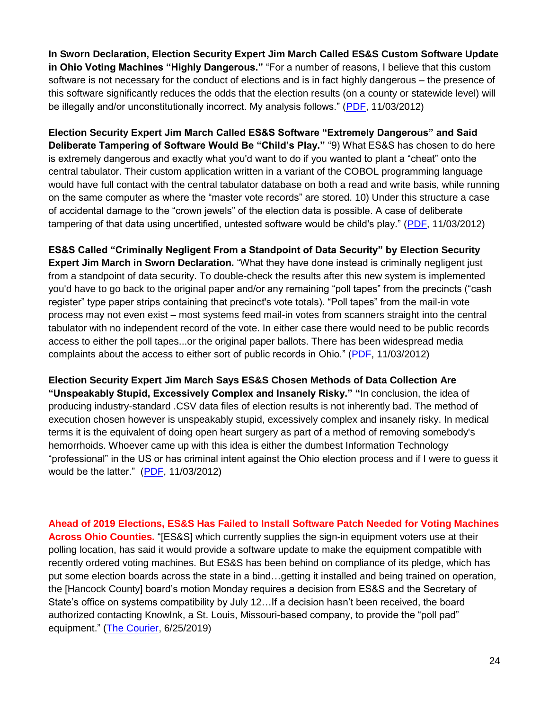**In Sworn Declaration, Election Security Expert Jim March Called ES&S Custom Software Update in Ohio Voting Machines "Highly Dangerous."** "For a number of reasons, I believe that this custom software is not necessary for the conduct of elections and is in fact highly dangerous – the presence of this software significantly reduces the odds that the election results (on a county or statewide level) will be illegally and/or unconstitutionally incorrect. My analysis follows." [\(PDF,](http://bradblog.com/Docs/JimMarch_Affidavit_OhioESSPPatch_110412.pdf) 11/03/2012)

**Election Security Expert Jim March Called ES&S Software "Extremely Dangerous" and Said Deliberate Tampering of Software Would Be "Child's Play."** "9) What ES&S has chosen to do here is extremely dangerous and exactly what you'd want to do if you wanted to plant a "cheat" onto the central tabulator. Their custom application written in a variant of the COBOL programming language would have full contact with the central tabulator database on both a read and write basis, while running on the same computer as where the "master vote records" are stored. 10) Under this structure a case of accidental damage to the "crown jewels" of the election data is possible. A case of deliberate tampering of that data using uncertified, untested software would be child's play." [\(PDF,](http://bradblog.com/Docs/JimMarch_Affidavit_OhioESSPPatch_110412.pdf) 11/03/2012)

**ES&S Called "Criminally Negligent From a Standpoint of Data Security" by Election Security Expert Jim March in Sworn Declaration.** "What they have done instead is criminally negligent just from a standpoint of data security. To double-check the results after this new system is implemented you'd have to go back to the original paper and/or any remaining "poll tapes" from the precincts ("cash register" type paper strips containing that precinct's vote totals). "Poll tapes" from the mail-in vote process may not even exist – most systems feed mail-in votes from scanners straight into the central tabulator with no independent record of the vote. In either case there would need to be public records access to either the poll tapes...or the original paper ballots. There has been widespread media complaints about the access to either sort of public records in Ohio." [\(PDF,](http://bradblog.com/Docs/JimMarch_Affidavit_OhioESSPPatch_110412.pdf) 11/03/2012)

**Election Security Expert Jim March Says ES&S Chosen Methods of Data Collection Are "Unspeakably Stupid, Excessively Complex and Insanely Risky." "**In conclusion, the idea of producing industry-standard .CSV data files of election results is not inherently bad. The method of execution chosen however is unspeakably stupid, excessively complex and insanely risky. In medical terms it is the equivalent of doing open heart surgery as part of a method of removing somebody's hemorrhoids. Whoever came up with this idea is either the dumbest Information Technology "professional" in the US or has criminal intent against the Ohio election process and if I were to guess it would be the latter." [\(PDF,](http://bradblog.com/Docs/JimMarch_Affidavit_OhioESSPPatch_110412.pdf) 11/03/2012)

**Ahead of 2019 Elections, ES&S Has Failed to Install Software Patch Needed for Voting Machines Across Ohio Counties.** "[ES&S] which currently supplies the sign-in equipment voters use at their polling location, has said it would provide a software update to make the equipment compatible with recently ordered voting machines. But ES&S has been behind on compliance of its pledge, which has put some election boards across the state in a bind…getting it installed and being trained on operation, the [Hancock County] board's motion Monday requires a decision from ES&S and the Secretary of State's office on systems compatibility by July 12…If a decision hasn't been received, the board authorized contacting KnowInk, a St. Louis, Missouri-based company, to provide the "poll pad" equipment." [\(The Courier,](https://thecourier.com/local-news/2019/06/25/action-taken-on-voting-equipment/) 6/25/2019)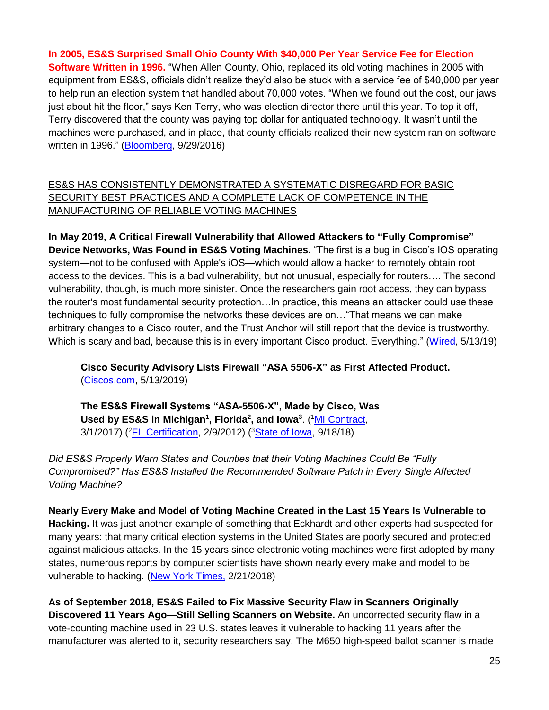**In 2005, ES&S Surprised Small Ohio County With \$40,000 Per Year Service Fee for Election Software Written in 1996.** "When Allen County, Ohio, replaced its old voting machines in 2005 with equipment from ES&S, officials didn't realize they'd also be stuck with a service fee of \$40,000 per year to help run an election system that handled about 70,000 votes. "When we found out the cost, our jaws just about hit the floor," says Ken Terry, who was election director there until this year. To top it off, Terry discovered that the county was paying top dollar for antiquated technology. It wasn't until the machines were purchased, and in place, that county officials realized their new system ran on software written in 1996." [\(Bloomberg,](https://www.bloomberg.com/features/2016-voting-technology/) 9/29/2016)

## ES&S HAS CONSISTENTLY DEMONSTRATED A SYSTEMATIC DISREGARD FOR BASIC SECURITY BEST PRACTICES AND A COMPLETE LACK OF COMPETENCE IN THE MANUFACTURING OF RELIABLE VOTING MACHINES

**In May 2019, A Critical Firewall Vulnerability that Allowed Attackers to "Fully Compromise" Device Networks, Was Found in ES&S Voting Machines.** "The first is a bug in Cisco's IOS operating system—not to be confused with Apple's iOS—which would allow a hacker to remotely obtain root access to the devices. This is a bad vulnerability, but not unusual, especially for routers…. The second vulnerability, though, is much more sinister. Once the researchers gain root access, they can bypass the router's most fundamental security protection…In practice, this means an attacker could use these techniques to fully compromise the networks these devices are on…"That means we can make arbitrary changes to a Cisco router, and the Trust Anchor will still report that the device is trustworthy. Which is scary and bad, because this is in every important Cisco product. Everything." [\(Wired,](https://www.wired.com/story/cisco-router-bug-secure-boot-trust-anchor/) 5/13/19)

**Cisco Security Advisory Lists Firewall "ASA 5506-X" as First Affected Product.**  [\(Ciscos.com,](https://tools.cisco.com/security/center/content/CiscoSecurityAdvisory/cisco-sa-20190513-secureboot) 5/13/2019)

**The ES&S Firewall Systems "ASA-5506-X", Made by Cisco, Was Used by ES&S in Michigan<sup>1</sup> , Florida<sup>2</sup> , and Iowa<sup>3</sup>** . ( <sup>1</sup>[MI Contract,](https://www.michigan.gov/documents/localgov/7700120_559033_7.pdf) 3/1/2017) (<sup>2</sup>[FL Certification,](https://dos.myflorida.com/media/695101/ess-evs-release-4030-version-1-certificate.pdf) 2/9/2012) (<sup>3</sup>[State of Iowa,](https://sos.iowa.gov/elections/pdf/approvedvotingsystems.pdf) 9/18/18)

*Did ES&S Properly Warn States and Counties that their Voting Machines Could Be "Fully Compromised?" Has ES&S Installed the Recommended Software Patch in Every Single Affected Voting Machine?*

**Nearly Every Make and Model of Voting Machine Created in the Last 15 Years Is Vulnerable to Hacking.** It was just another example of something that Eckhardt and other experts had suspected for many years: that many critical election systems in the United States are poorly secured and protected against malicious attacks. In the 15 years since electronic voting machines were first adopted by many states, numerous reports by computer scientists have shown nearly every make and model to be vulnerable to hacking. [\(New York Times,](https://www.nytimes.com/2018/02/21/magazine/the-myth-of-the-hacker-proof-voting-machine.html) 2/21/2018)

**As of September 2018, ES&S Failed to Fix Massive Security Flaw in Scanners Originally Discovered 11 Years Ago—Still Selling Scanners on Website.** An uncorrected security flaw in a vote-counting machine used in 23 U.S. states leaves it vulnerable to hacking 11 years after the manufacturer was alerted to it, security researchers say. The M650 high-speed ballot scanner is made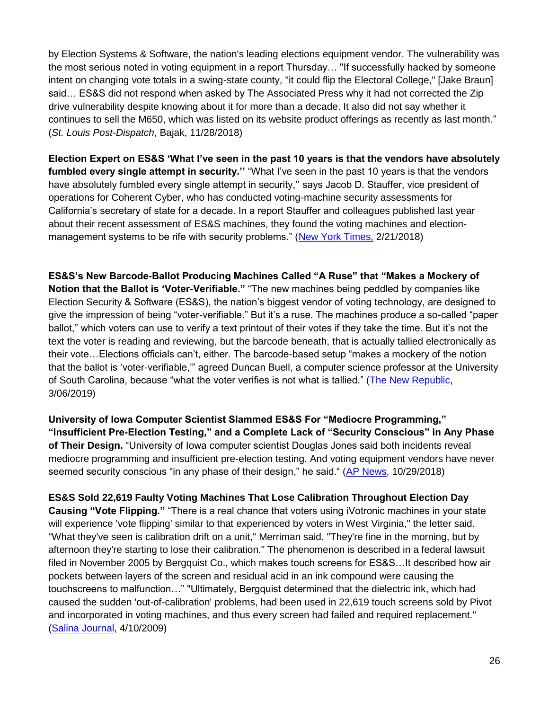by Election Systems & Software, the nation's leading elections equipment vendor. The vulnerability was the most serious noted in voting equipment in a report Thursday… "If successfully hacked by someone intent on changing vote totals in a swing-state county, "it could flip the Electoral College," [Jake Braun] said… ES&S did not respond when asked by The Associated Press why it had not corrected the Zip drive vulnerability despite knowing about it for more than a decade. It also did not say whether it continues to sell the M650, which was listed on its website product offerings as recently as last month." (*St. Louis Post-Dispatch*, Bajak, 11/28/2018)

**Election Expert on ES&S 'What I've seen in the past 10 years is that the vendors have absolutely fumbled every single attempt in security.''** "What I've seen in the past 10 years is that the vendors have absolutely fumbled every single attempt in security," says Jacob D. Stauffer, vice president of operations for Coherent Cyber, who has conducted voting-machine security assessments for California's secretary of state for a decade. In a report Stauffer and colleagues published last year about their recent assessment of ES&S machines, they found the voting machines and electionmanagement systems to be rife with security problems." [\(New York Times,](https://www.nytimes.com/2018/02/21/magazine/the-myth-of-the-hacker-proof-voting-machine.html) 2/21/2018)

**ES&S's New Barcode-Ballot Producing Machines Called "A Ruse" that "Makes a Mockery of Notion that the Ballot is 'Voter-Verifiable."** "The new machines being peddled by companies like Election Security & Software (ES&S), the nation's biggest vendor of voting technology, are designed to give the impression of being "voter-verifiable." But it's a ruse. The machines produce a so-called "paper ballot," which voters can use to verify a text printout of their votes if they take the time. But it's not the text the voter is reading and reviewing, but the barcode beneath, that is actually tallied electronically as their vote…Elections officials can't, either. The barcode-based setup "makes a mockery of the notion that the ballot is 'voter-verifiable,'" agreed Duncan Buell, a computer science professor at the University of South Carolina, because "what the voter verifies is not what is tallied." [\(The New Republic,](https://newrepublic.com/article/153221/making-georgias-bad-elections-even-worse) 3/06/2019)

**University of Iowa Computer Scientist Slammed ES&S For "Mediocre Programming," "Insufficient Pre-Election Testing," and a Complete Lack of "Security Conscious" in Any Phase of Their Design.** "University of Iowa computer scientist Douglas Jones said both incidents reveal mediocre programming and insufficient pre-election testing. And voting equipment vendors have never seemed security conscious "in any phase of their design," he said." (AP [News,](https://apnews.com/f6876669cb6b4e4c9850844f8e015b4c) 10/29/2018)

**ES&S Sold 22,619 Faulty Voting Machines That Lose Calibration Throughout Election Day Causing "Vote Flipping."** "There is a real chance that voters using iVotronic machines in your state will experience 'vote flipping' similar to that experienced by voters in West Virginia," the letter said. "What they've seen is calibration drift on a unit," Merriman said. "They're fine in the morning, but by afternoon they're starting to lose their calibration." The phenomenon is described in a federal lawsuit filed in November 2005 by Bergquist Co., which makes touch screens for ES&S…It described how air pockets between layers of the screen and residual acid in an ink compound were causing the touchscreens to malfunction…" "Ultimately, Bergquist determined that the dielectric ink, which had caused the sudden 'out-of-calibration' problems, had been used in 22,619 touch screens sold by Pivot and incorporated in voting machines, and thus every screen had failed and required replacement." [\(Salina Journal,](http://www.votersunite.org/article.asp?id=8375) 4/10/2009)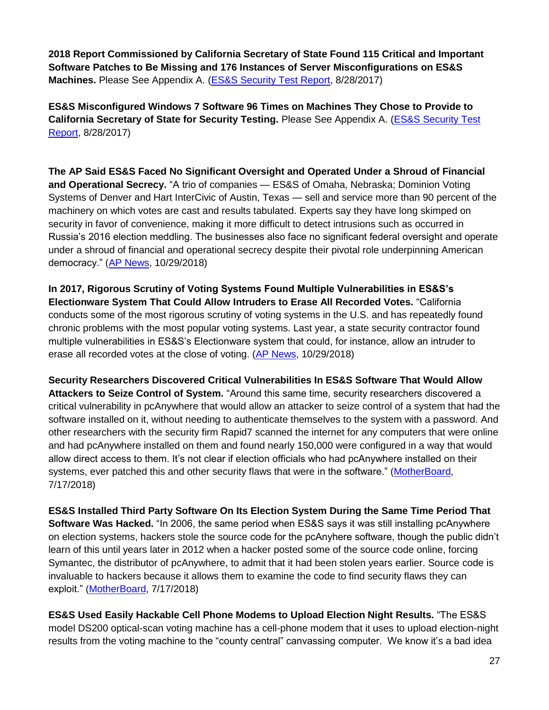**2018 Report Commissioned by California Secretary of State Found 115 Critical and Important Software Patches to Be Missing and 176 Instances of Server Misconfigurations on ES&S Machines.** Please See Appendix A. [\(ES&S Security Test Report,](https://votingsystems.cdn.sos.ca.gov/vendors/ess/evs5210/ess5210-sec.pdf) 8/28/2017)

**ES&S Misconfigured Windows 7 Software 96 Times on Machines They Chose to Provide to California Secretary of State for Security Testing.** Please See Appendix A. [\(ES&S Security Test](https://votingsystems.cdn.sos.ca.gov/vendors/ess/evs5210/ess5210-sec.pdf)  [Report,](https://votingsystems.cdn.sos.ca.gov/vendors/ess/evs5210/ess5210-sec.pdf) 8/28/2017)

**The AP Said ES&S Faced No Significant Oversight and Operated Under a Shroud of Financial and Operational Secrecy.** "A trio of companies — ES&S of Omaha, Nebraska; Dominion Voting Systems of Denver and Hart InterCivic of Austin, Texas — sell and service more than 90 percent of the machinery on which votes are cast and results tabulated. Experts say they have long skimped on security in favor of convenience, making it more difficult to detect intrusions such as occurred in Russia's 2016 election meddling. The businesses also face no significant federal oversight and operate under a shroud of financial and operational secrecy despite their pivotal role underpinning American democracy." [\(AP News,](https://apnews.com/f6876669cb6b4e4c9850844f8e015b4c) 10/29/2018)

**In 2017, Rigorous Scrutiny of Voting Systems Found Multiple Vulnerabilities in ES&S's Electionware System That Could Allow Intruders to Erase All Recorded Votes.** "California conducts some of the most rigorous scrutiny of voting systems in the U.S. and has repeatedly found chronic problems with the most popular voting systems. Last year, a state security contractor found multiple vulnerabilities in ES&S's Electionware system that could, for instance, allow an intruder to erase all recorded votes at the close of voting. [\(AP News,](https://apnews.com/f6876669cb6b4e4c9850844f8e015b4c) 10/29/2018)

**Security Researchers Discovered Critical Vulnerabilities In ES&S Software That Would Allow Attackers to Seize Control of System.** "Around this same time, security researchers discovered a critical vulnerability in pcAnywhere that would allow an attacker to seize control of a system that had the software installed on it, without needing to authenticate themselves to the system with a password. And other researchers with the security firm Rapid7 scanned the internet for any computers that were online and had pcAnywhere installed on them and found nearly 150,000 were configured in a way that would allow direct access to them. It's not clear if election officials who had pcAnywhere installed on their systems, ever patched this and other security flaws that were in the software." [\(MotherBoard,](https://motherboard.vice.com/en_us/article/mb4ezy/top-voting-machine-vendor-admits-it-installed-remote-access-software-on-systems-sold-to-states) 7/17/2018)

**ES&S Installed Third Party Software On Its Election System During the Same Time Period That Software Was Hacked.** "In 2006, the same period when ES&S says it was still installing pcAnywhere on election systems, hackers stole the source code for the pcAnyhere software, though the public didn't learn of this until years later in 2012 when a hacker posted some of the source code online, forcing Symantec, the distributor of pcAnywhere, to admit that it had been stolen years earlier. Source code is invaluable to hackers because it allows them to examine the code to find security flaws they can exploit." [\(MotherBoard,](https://motherboard.vice.com/en_us/article/mb4ezy/top-voting-machine-vendor-admits-it-installed-remote-access-software-on-systems-sold-to-states) 7/17/2018)

**ES&S Used Easily Hackable Cell Phone Modems to Upload Election Night Results.** "The ES&S model DS200 optical-scan voting machine has a cell-phone modem that it uses to upload election-night results from the voting machine to the "county central" canvassing computer. We know it's a bad idea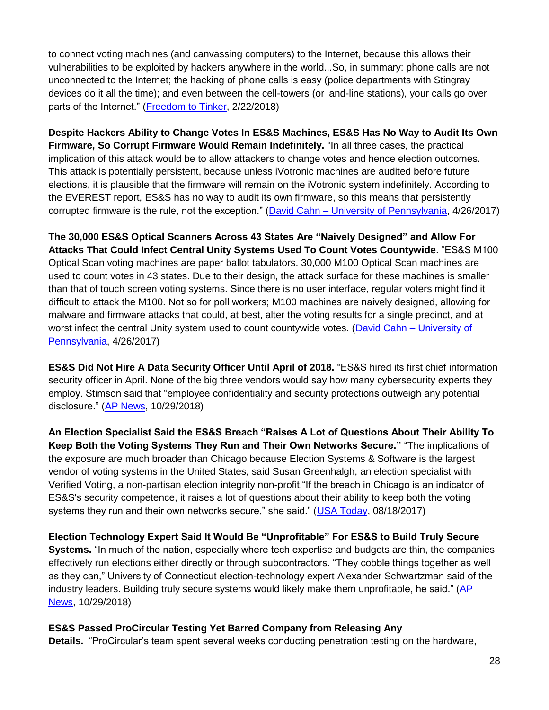to connect voting machines (and canvassing computers) to the Internet, because this allows their vulnerabilities to be exploited by hackers anywhere in the world...So, in summary: phone calls are not unconnected to the Internet; the hacking of phone calls is easy (police departments with Stingray devices do it all the time); and even between the cell-towers (or land-line stations), your calls go over parts of the Internet." [\(Freedom to Tinker,](https://freedom-to-tinker.com/2018/02/22/are-voting-machine-modems-truly-divorced-from-the-internet/) 2/22/2018)

**Despite Hackers Ability to Change Votes In ES&S Machines, ES&S Has No Way to Audit Its Own Firmware, So Corrupt Firmware Would Remain Indefinitely.** "In all three cases, the practical implication of this attack would be to allow attackers to change votes and hence election outcomes. This attack is potentially persistent, because unless iVotronic machines are audited before future elections, it is plausible that the firmware will remain on the iVotronic system indefinitely. According to the EVEREST report, ES&S has no way to audit its own firmware, so this means that persistently corrupted firmware is the rule, not the exception." (David Cahn – [University of Pennsylvania,](https://static1.squarespace.com/static/569293741c1210fdda37b429/t/5914f5262994ca8427be3e62/1494545706490/DavidCahn_EAS499_SeniorThesis.pdf) 4/26/2017)

**The 30,000 ES&S Optical Scanners Across 43 States Are "Naively Designed" and Allow For Attacks That Could Infect Central Unity Systems Used To Count Votes Countywide**. "ES&S M100 Optical Scan voting machines are paper ballot tabulators. 30,000 M100 Optical Scan machines are used to count votes in 43 states. Due to their design, the attack surface for these machines is smaller than that of touch screen voting systems. Since there is no user interface, regular voters might find it difficult to attack the M100. Not so for poll workers; M100 machines are naively designed, allowing for malware and firmware attacks that could, at best, alter the voting results for a single precinct, and at worst infect the central Unity system used to count countywide votes. [\(David Cahn –](https://static1.squarespace.com/static/569293741c1210fdda37b429/t/5914f5262994ca8427be3e62/1494545706490/DavidCahn_EAS499_SeniorThesis.pdf) University of [Pennsylvania,](https://static1.squarespace.com/static/569293741c1210fdda37b429/t/5914f5262994ca8427be3e62/1494545706490/DavidCahn_EAS499_SeniorThesis.pdf) 4/26/2017)

**ES&S Did Not Hire A Data Security Officer Until April of 2018.** "ES&S hired its first chief information security officer in April. None of the big three vendors would say how many cybersecurity experts they employ. Stimson said that "employee confidentiality and security protections outweigh any potential disclosure." [\(AP News,](https://apnews.com/f6876669cb6b4e4c9850844f8e015b4c) 10/29/2018)

**An Election Specialist Said the ES&S Breach "Raises A Lot of Questions About Their Ability To Keep Both the Voting Systems They Run and Their Own Networks Secure."** "The implications of the exposure are much broader than Chicago because Election Systems & Software is the largest vendor of voting systems in the United States, said Susan Greenhalgh, an election specialist with Verified Voting, a non-partisan election integrity non-profit."If the breach in Chicago is an indicator of ES&S's security competence, it raises a lot of questions about their ability to keep both the voting systems they run and their own networks secure," she said." [\(USA Today,](https://www.usatoday.com/story/tech/2017/08/18/information-1-8-million-chicago-voters-exposed/579656001/) 08/18/2017)

**Election Technology Expert Said It Would Be "Unprofitable" For ES&S to Build Truly Secure Systems.** "In much of the nation, especially where tech expertise and budgets are thin, the companies effectively run elections either directly or through subcontractors. "They cobble things together as well as they can," University of Connecticut election-technology expert Alexander Schwartzman said of the industry leaders. Building truly secure systems would likely make them unprofitable, he said." [\(AP](https://apnews.com/f6876669cb6b4e4c9850844f8e015b4c)  [News,](https://apnews.com/f6876669cb6b4e4c9850844f8e015b4c) 10/29/2018)

## **ES&S Passed ProCircular Testing Yet Barred Company from Releasing Any**

**Details.** "ProCircular's team spent several weeks conducting penetration testing on the hardware,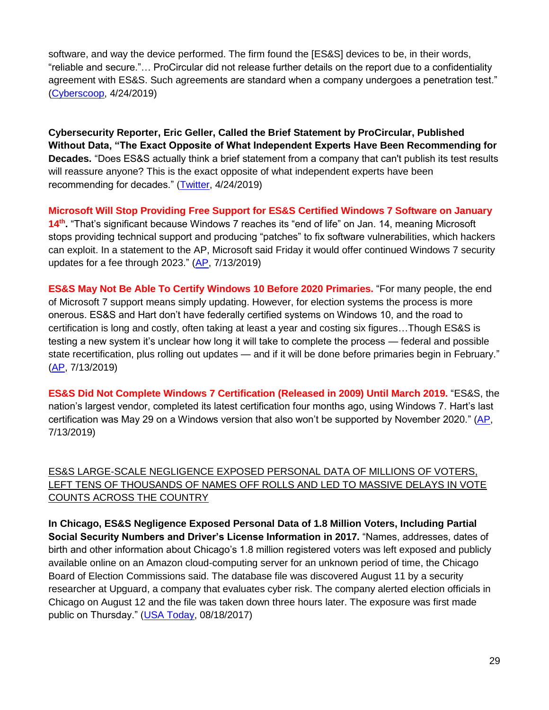software, and way the device performed. The firm found the [ES&S] devices to be, in their words, "reliable and secure."… ProCircular did not release further details on the report due to a confidentiality agreement with ES&S. Such agreements are standard when a company undergoes a penetration test." [\(Cyberscoop,](https://www.cyberscoop.com/election-security-es-s-dhs-pen-testing-idaho-national-labs-procircular/) 4/24/2019)

**Cybersecurity Reporter, Eric Geller, Called the Brief Statement by ProCircular, Published Without Data, "The Exact Opposite of What Independent Experts Have Been Recommending for Decades.** "Does ES&S actually think a brief statement from a company that can't publish its test results will reassure anyone? This is the exact opposite of what independent experts have been recommending for decades." [\(Twitter,](https://twitter.com/ericgeller/status/1121171963764932609) 4/24/2019)

**Microsoft Will Stop Providing Free Support for ES&S Certified Windows 7 Software on January**  14<sup>th</sup>. "That's significant because Windows 7 reaches its "end of life" on Jan. 14, meaning Microsoft stops providing technical support and producing "patches" to fix software vulnerabilities, which hackers can exploit. In a statement to the AP, Microsoft said Friday it would offer continued Windows 7 security updates for a fee through 2023." [\(AP,](https://apnews.com/e5e070c31f3c497fa9e6875f426ccde1) 7/13/2019)

**ES&S May Not Be Able To Certify Windows 10 Before 2020 Primaries.** "For many people, the end of Microsoft 7 support means simply updating. However, for election systems the process is more onerous. ES&S and Hart don't have federally certified systems on Windows 10, and the road to certification is long and costly, often taking at least a year and costing six figures…Though ES&S is testing a new system it's unclear how long it will take to complete the process — federal and possible state recertification, plus rolling out updates — and if it will be done before primaries begin in February." [\(AP,](https://apnews.com/e5e070c31f3c497fa9e6875f426ccde1) 7/13/2019)

**ES&S Did Not Complete Windows 7 Certification (Released in 2009) Until March 2019.** "ES&S, the nation's largest vendor, completed its latest certification four months ago, using Windows 7. Hart's last certification was May 29 on a Windows version that also won't be supported by November 2020." [\(AP,](https://apnews.com/e5e070c31f3c497fa9e6875f426ccde1) 7/13/2019)

ES&S LARGE-SCALE NEGLIGENCE EXPOSED PERSONAL DATA OF MILLIONS OF VOTERS, LEFT TENS OF THOUSANDS OF NAMES OFF ROLLS AND LED TO MASSIVE DELAYS IN VOTE COUNTS ACROSS THE COUNTRY

**In Chicago, ES&S Negligence Exposed Personal Data of 1.8 Million Voters, Including Partial Social Security Numbers and Driver's License Information in 2017.** "Names, addresses, dates of birth and other information about Chicago's 1.8 million registered voters was left exposed and publicly available online on an Amazon cloud-computing server for an unknown period of time, the Chicago Board of Election Commissions said. The database file was discovered August 11 by a security researcher at Upguard, a company that evaluates cyber risk. The company alerted election officials in Chicago on August 12 and the file was taken down three hours later. The exposure was first made public on Thursday." [\(USA Today,](https://www.usatoday.com/story/tech/2017/08/18/information-1-8-million-chicago-voters-exposed/579656001/) 08/18/2017)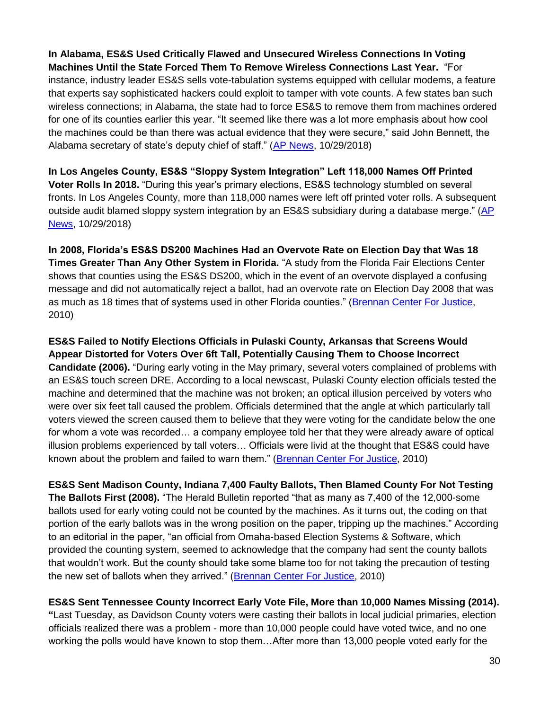## **In Alabama, ES&S Used Critically Flawed and Unsecured Wireless Connections In Voting Machines Until the State Forced Them To Remove Wireless Connections Last Year.** "For instance, industry leader ES&S sells vote-tabulation systems equipped with cellular modems, a feature that experts say sophisticated hackers could exploit to tamper with vote counts. A few states ban such wireless connections; in Alabama, the state had to force ES&S to remove them from machines ordered for one of its counties earlier this year. "It seemed like there was a lot more emphasis about how cool the machines could be than there was actual evidence that they were secure," said John Bennett, the

Alabama secretary of state's deputy chief of staff." [\(AP News,](https://apnews.com/f6876669cb6b4e4c9850844f8e015b4c) 10/29/2018)

**In Los Angeles County, ES&S "Sloppy System Integration" Left 118,000 Names Off Printed Voter Rolls In 2018.** "During this year's primary elections, ES&S technology stumbled on several fronts. In Los Angeles County, more than 118,000 names were left off printed voter rolls. A subsequent outside audit blamed sloppy system integration by an ES&S subsidiary during a database merge." [\(AP](https://apnews.com/f6876669cb6b4e4c9850844f8e015b4c)  [News,](https://apnews.com/f6876669cb6b4e4c9850844f8e015b4c) 10/29/2018)

**In 2008, Florida's ES&S DS200 Machines Had an Overvote Rate on Election Day that Was 18 Times Greater Than Any Other System in Florida.** "A study from the Florida Fair Elections Center shows that counties using the ES&S DS200, which in the event of an overvote displayed a confusing message and did not automatically reject a ballot, had an overvote rate on Election Day 2008 that was as much as 18 times that of systems used in other Florida counties." [\(Brennan Center For Justice,](https://www.brennancenter.org/sites/default/files/legacy/Democracy/Voting_Machine_Failures_Online.pdf) 2010)

**ES&S Failed to Notify Elections Officials in Pulaski County, Arkansas that Screens Would Appear Distorted for Voters Over 6ft Tall, Potentially Causing Them to Choose Incorrect Candidate (2006).** "During early voting in the May primary, several voters complained of problems with an ES&S touch screen DRE. According to a local newscast, Pulaski County election officials tested the machine and determined that the machine was not broken; an optical illusion perceived by voters who were over six feet tall caused the problem. Officials determined that the angle at which particularly tall voters viewed the screen caused them to believe that they were voting for the candidate below the one for whom a vote was recorded… a company employee told her that they were already aware of optical illusion problems experienced by tall voters… Officials were livid at the thought that ES&S could have known about the problem and failed to warn them." [\(Brennan Center For Justice,](https://www.brennancenter.org/sites/default/files/legacy/Democracy/Voting_Machine_Failures_Online.pdf) 2010)

**ES&S Sent Madison County, Indiana 7,400 Faulty Ballots, Then Blamed County For Not Testing The Ballots First (2008).** "The Herald Bulletin reported "that as many as 7,400 of the 12,000-some ballots used for early voting could not be counted by the machines. As it turns out, the coding on that portion of the early ballots was in the wrong position on the paper, tripping up the machines." According to an editorial in the paper, "an official from Omaha-based Election Systems & Software, which provided the counting system, seemed to acknowledge that the company had sent the county ballots that wouldn't work. But the county should take some blame too for not taking the precaution of testing the new set of ballots when they arrived." [\(Brennan Center For Justice,](https://www.brennancenter.org/sites/default/files/legacy/Democracy/Voting_Machine_Failures_Online.pdf) 2010)

## **ES&S Sent Tennessee County Incorrect Early Vote File, More than 10,000 Names Missing (2014).**

**"**Last Tuesday, as Davidson County voters were casting their ballots in local judicial primaries, election officials realized there was a problem - more than 10,000 people could have voted twice, and no one working the polls would have known to stop them…After more than 13,000 people voted early for the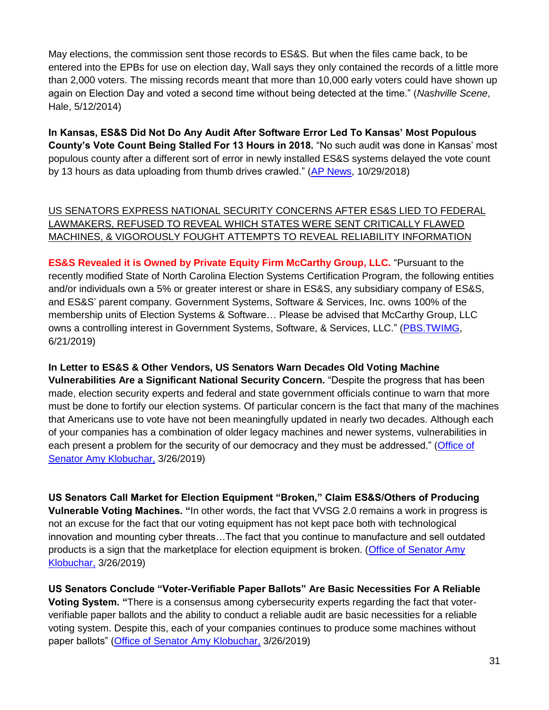May elections, the commission sent those records to ES&S. But when the files came back, to be entered into the EPBs for use on election day, Wall says they only contained the records of a little more than 2,000 voters. The missing records meant that more than 10,000 early voters could have shown up again on Election Day and voted a second time without being detected at the time." (*Nashville Scene*, Hale, 5/12/2014)

**In Kansas, ES&S Did Not Do Any Audit After Software Error Led To Kansas' Most Populous County's Vote Count Being Stalled For 13 Hours in 2018.** "No such audit was done in Kansas' most populous county after a different sort of error in newly installed ES&S systems delayed the vote count by 13 hours as data uploading from thumb drives crawled." [\(AP News,](https://apnews.com/f6876669cb6b4e4c9850844f8e015b4c) 10/29/2018)

## US SENATORS EXPRESS NATIONAL SECURITY CONCERNS AFTER ES&S LIED TO FEDERAL LAWMAKERS, REFUSED TO REVEAL WHICH STATES WERE SENT CRITICALLY FLAWED MACHINES, & VIGOROUSLY FOUGHT ATTEMPTS TO REVEAL RELIABILITY INFORMATION

**ES&S Revealed it is Owned by Private Equity Firm McCarthy Group, LLC.** "Pursuant to the recently modified State of North Carolina Election Systems Certification Program, the following entities and/or individuals own a 5% or greater interest or share in ES&S, any subsidiary company of ES&S, and ES&S' parent company. Government Systems, Software & Services, Inc. owns 100% of the membership units of Election Systems & Software… Please be advised that McCarthy Group, LLC owns a controlling interest in Government Systems, Software, & Services, LLC." [\(PBS.TWIMG,](https://pbs.twimg.com/media/D-hb9UWXUAEuGqr.jpg) 6/21/2019)

## **In Letter to ES&S & Other Vendors, US Senators Warn Decades Old Voting Machine**

**Vulnerabilities Are a Significant National Security Concern.** "Despite the progress that has been made, election security experts and federal and state government officials continue to warn that more must be done to fortify our election systems. Of particular concern is the fact that many of the machines that Americans use to vote have not been meaningfully updated in nearly two decades. Although each of your companies has a combination of older legacy machines and newer systems, vulnerabilities in each present a problem for the security of our democracy and they must be addressed." [\(Office of](https://www.klobuchar.senate.gov/public/index.cfm/2019/3/ranking-members-klobuchar-warner-reed-and-peters-press-election-equipment-manufacturers-on-security)  [Senator Amy Klobuchar,](https://www.klobuchar.senate.gov/public/index.cfm/2019/3/ranking-members-klobuchar-warner-reed-and-peters-press-election-equipment-manufacturers-on-security) 3/26/2019)

**US Senators Call Market for Election Equipment "Broken," Claim ES&S/Others of Producing Vulnerable Voting Machines. "**In other words, the fact that VVSG 2.0 remains a work in progress is not an excuse for the fact that our voting equipment has not kept pace both with technological innovation and mounting cyber threats…The fact that you continue to manufacture and sell outdated products is a sign that the marketplace for election equipment is broken. [\(Office of Senator Amy](https://www.klobuchar.senate.gov/public/index.cfm/2019/3/ranking-members-klobuchar-warner-reed-and-peters-press-election-equipment-manufacturers-on-security)  [Klobuchar,](https://www.klobuchar.senate.gov/public/index.cfm/2019/3/ranking-members-klobuchar-warner-reed-and-peters-press-election-equipment-manufacturers-on-security) 3/26/2019)

**US Senators Conclude "Voter-Verifiable Paper Ballots" Are Basic Necessities For A Reliable Voting System. "**There is a consensus among cybersecurity experts regarding the fact that voterverifiable paper ballots and the ability to conduct a reliable audit are basic necessities for a reliable voting system. Despite this, each of your companies continues to produce some machines without paper ballots" [\(Office of Senator Amy Klobuchar,](https://www.klobuchar.senate.gov/public/index.cfm/2019/3/ranking-members-klobuchar-warner-reed-and-peters-press-election-equipment-manufacturers-on-security) 3/26/2019)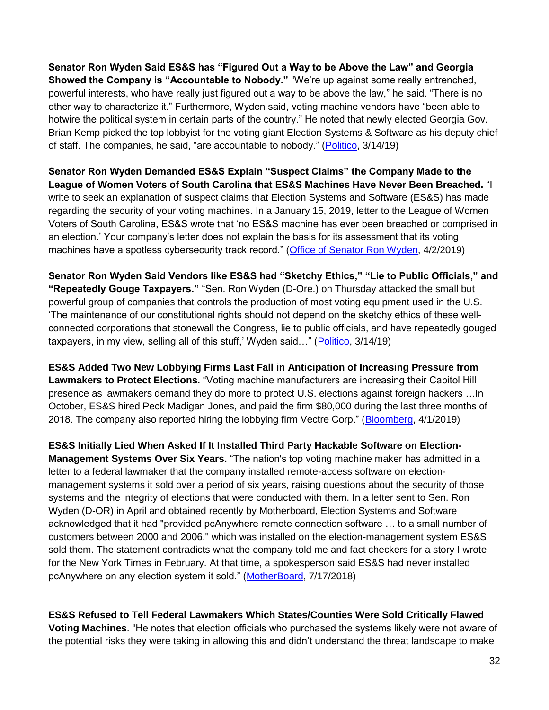**Senator Ron Wyden Said ES&S has "Figured Out a Way to be Above the Law" and Georgia Showed the Company is "Accountable to Nobody."** "We're up against some really entrenched, powerful interests, who have really just figured out a way to be above the law," he said. "There is no other way to characterize it." Furthermore, Wyden said, voting machine vendors have "been able to hotwire the political system in certain parts of the country." He noted that newly elected Georgia Gov. Brian Kemp picked the top lobbyist for the voting giant Election Systems & Software as his deputy chief of staff. The companies, he said, "are accountable to nobody." [\(Politico,](https://www.politico.com/story/2019/03/14/wyden-voting-machine-election-security-1221639) 3/14/19)

**Senator Ron Wyden Demanded ES&S Explain "Suspect Claims" the Company Made to the League of Women Voters of South Carolina that ES&S Machines Have Never Been Breached.** "I write to seek an explanation of suspect claims that Election Systems and Software (ES&S) has made regarding the security of your voting machines. In a January 15, 2019, letter to the League of Women Voters of South Carolina, ES&S wrote that 'no ES&S machine has ever been breached or comprised in an election.' Your company's letter does not explain the basis for its assessment that its voting machines have a spotless cybersecurity track record." [\(Office of Senator Ron Wyden,](https://games-cdn.washingtonpost.com/notes/prod/default/documents/ee82a54a-58f1-43eb-9846-555d95f0e645/note/c28e7546-6446-495a-a82c-f097fc7a4622.pdf) 4/2/2019)

**Senator Ron Wyden Said Vendors like ES&S had "Sketchy Ethics," "Lie to Public Officials," and "Repeatedly Gouge Taxpayers."** "Sen. Ron Wyden (D-Ore.) on Thursday attacked the small but powerful group of companies that controls the production of most voting equipment used in the U.S. 'The maintenance of our constitutional rights should not depend on the sketchy ethics of these wellconnected corporations that stonewall the Congress, lie to public officials, and have repeatedly gouged taxpayers, in my view, selling all of this stuff,' Wyden said…" [\(Politico,](https://www.politico.com/story/2019/03/14/wyden-voting-machine-election-security-1221639) 3/14/19)

**ES&S Added Two New Lobbying Firms Last Fall in Anticipation of Increasing Pressure from Lawmakers to Protect Elections.** "Voting machine manufacturers are increasing their Capitol Hill presence as lawmakers demand they do more to protect U.S. elections against foreign hackers …In October, ES&S hired Peck Madigan Jones, and paid the firm \$80,000 during the last three months of 2018. The company also reported hiring the lobbying firm Vectre Corp." [\(Bloomberg,](https://about.bgov.com/news/voting-machine-firms-add-lobbyists-amid-election-hacker-concerns/) 4/1/2019)

**ES&S Initially Lied When Asked If It Installed Third Party Hackable Software on Election-Management Systems Over Six Years.** "The nation's top voting machine maker has admitted in a letter to a federal lawmaker that the company installed remote-access software on electionmanagement systems it sold over a period of six years, raising questions about the security of those systems and the integrity of elections that were conducted with them. In a letter sent to Sen. Ron Wyden (D-OR) in April and obtained recently by Motherboard, Election Systems and Software acknowledged that it had "provided pcAnywhere remote connection software … to a small number of customers between 2000 and 2006," which was installed on the election-management system ES&S sold them. The statement contradicts what the company told me and fact checkers for a story I wrote for the New York Times in February. At that time, a spokesperson said ES&S had never installed pcAnywhere on any election system it sold." [\(MotherBoard,](https://motherboard.vice.com/en_us/article/mb4ezy/top-voting-machine-vendor-admits-it-installed-remote-access-software-on-systems-sold-to-states) 7/17/2018)

**ES&S Refused to Tell Federal Lawmakers Which States/Counties Were Sold Critically Flawed Voting Machines**. "He notes that election officials who purchased the systems likely were not aware of the potential risks they were taking in allowing this and didn't understand the threat landscape to make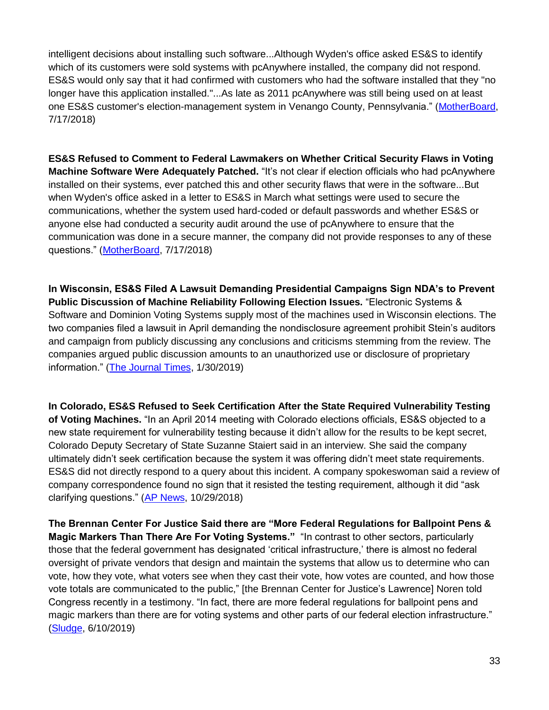intelligent decisions about installing such software...Although Wyden's office asked ES&S to identify which of its customers were sold systems with pcAnywhere installed, the company did not respond. ES&S would only say that it had confirmed with customers who had the software installed that they "no longer have this application installed."...As late as 2011 pcAnywhere was still being used on at least one ES&S customer's election-management system in Venango County, Pennsylvania." [\(MotherBoard,](https://motherboard.vice.com/en_us/article/mb4ezy/top-voting-machine-vendor-admits-it-installed-remote-access-software-on-systems-sold-to-states) 7/17/2018)

**ES&S Refused to Comment to Federal Lawmakers on Whether Critical Security Flaws in Voting Machine Software Were Adequately Patched.** "It's not clear if election officials who had pcAnywhere installed on their systems, ever patched this and other security flaws that were in the software...But when Wyden's office asked in a letter to ES&S in March what settings were used to secure the communications, whether the system used hard-coded or default passwords and whether ES&S or anyone else had conducted a security audit around the use of pcAnywhere to ensure that the communication was done in a secure manner, the company did not provide responses to any of these questions." [\(MotherBoard,](https://motherboard.vice.com/en_us/article/mb4ezy/top-voting-machine-vendor-admits-it-installed-remote-access-software-on-systems-sold-to-states) 7/17/2018)

**In Wisconsin, ES&S Filed A Lawsuit Demanding Presidential Campaigns Sign NDA's to Prevent Public Discussion of Machine Reliability Following Election Issues.** "Electronic Systems & Software and Dominion Voting Systems supply most of the machines used in Wisconsin elections. The two companies filed a lawsuit in April demanding the nondisclosure agreement prohibit Stein's auditors and campaign from publicly discussing any conclusions and criticisms stemming from the review. The companies argued public discussion amounts to an unauthorized use or disclosure of proprietary information." [\(The Journal Times,](https://journaltimes.com/fe7ce592-24f1-5bc8-9029-653fb359e92e.html#new_tab) 1/30/2019)

**In Colorado, ES&S Refused to Seek Certification After the State Required Vulnerability Testing of Voting Machines.** "In an April 2014 meeting with Colorado elections officials, ES&S objected to a new state requirement for vulnerability testing because it didn't allow for the results to be kept secret, Colorado Deputy Secretary of State Suzanne Staiert said in an interview. She said the company ultimately didn't seek certification because the system it was offering didn't meet state requirements. ES&S did not directly respond to a query about this incident. A company spokeswoman said a review of company correspondence found no sign that it resisted the testing requirement, although it did "ask clarifying questions." [\(AP News,](https://apnews.com/f6876669cb6b4e4c9850844f8e015b4c) 10/29/2018)

**The Brennan Center For Justice Said there are "More Federal Regulations for Ballpoint Pens & Magic Markers Than There Are For Voting Systems."** "In contrast to other sectors, particularly those that the federal government has designated 'critical infrastructure,' there is almost no federal oversight of private vendors that design and maintain the systems that allow us to determine who can vote, how they vote, what voters see when they cast their vote, how votes are counted, and how those vote totals are communicated to the public," [the Brennan Center for Justice's Lawrence] Noren told Congress recently in a testimony. "In fact, there are more federal regulations for ballpoint pens and magic markers than there are for voting systems and other parts of our federal election infrastructure." [\(Sludge,](https://readsludge.com/2019/06/10/as-he-blocks-election-security-bills-mcconnell-takes-checks-from-voting-machine-lobbyists/) 6/10/2019)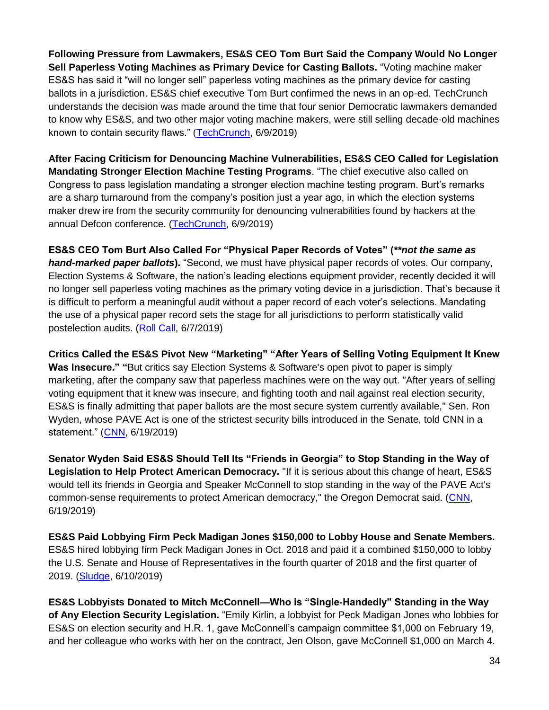**Following Pressure from Lawmakers, ES&S CEO Tom Burt Said the Company Would No Longer Sell Paperless Voting Machines as Primary Device for Casting Ballots.** "Voting machine maker ES&S has said it "will no longer sell" paperless voting machines as the primary device for casting ballots in a jurisdiction. ES&S chief executive Tom Burt confirmed the news in an op-ed. TechCrunch understands the decision was made around the time that four senior Democratic lawmakers demanded to know why ES&S, and two other major voting machine makers, were still selling decade-old machines known to contain security flaws." [\(TechCrunch,](https://techcrunch.com/2019/06/09/voting-machine-maker-election-security/) 6/9/2019)

**After Facing Criticism for Denouncing Machine Vulnerabilities, ES&S CEO Called for Legislation Mandating Stronger Election Machine Testing Programs**. "The chief executive also called on Congress to pass legislation mandating a stronger election machine testing program. Burt's remarks are a sharp turnaround from the company's position just a year ago, in which the election systems maker drew ire from the security community for denouncing vulnerabilities found by hackers at the annual Defcon conference. [\(TechCrunch,](https://techcrunch.com/2019/06/09/voting-machine-maker-election-security/) 6/9/2019)

**ES&S CEO Tom Burt Also Called For "Physical Paper Records of Votes" (***\*\*not the same as hand-marked paper ballots***).** "Second, we must have physical paper records of votes. Our company, Election Systems & Software, the nation's leading elections equipment provider, recently decided it will no longer sell paperless voting machines as the primary voting device in a jurisdiction. That's because it is difficult to perform a meaningful audit without a paper record of each voter's selections. Mandating the use of a physical paper record sets the stage for all jurisdictions to perform statistically valid postelection audits. [\(Roll Call,](https://www.rollcall.com/news/opinion/paper-record-every-voter-time-congress-act) 6/7/2019)

**Critics Called the ES&S Pivot New "Marketing" "After Years of Selling Voting Equipment It Knew Was Insecure." "**But critics say Election Systems & Software's open pivot to paper is simply marketing, after the company saw that paperless machines were on the way out. "After years of selling voting equipment that it knew was insecure, and fighting tooth and nail against real election security, ES&S is finally admitting that paper ballots are the most secure system currently available," Sen. Ron Wyden, whose PAVE Act is one of the strictest security bills introduced in the Senate, told CNN in a statement." [\(CNN,](file:///C:/Users/Esosa%20Osa/Documents/areers.bankofamerica.com/search-jobs.aspx%3fc=united-states&r=us) 6/19/2019)

**Senator Wyden Said ES&S Should Tell Its "Friends in Georgia" to Stop Standing in the Way of Legislation to Help Protect American Democracy.** "If it is serious about this change of heart, ES&S would tell its friends in Georgia and Speaker McConnell to stop standing in the way of the PAVE Act's common-sense requirements to protect American democracy," the Oregon Democrat said. [\(CNN,](file:///C:/Users/Esosa%20Osa/Documents/areers.bankofamerica.com/search-jobs.aspx%3fc=united-states&r=us) 6/19/2019)

**ES&S Paid Lobbying Firm Peck Madigan Jones \$150,000 to Lobby House and Senate Members.** ES&S hired lobbying firm Peck Madigan Jones in Oct. 2018 and paid it a combined \$150,000 to lobby the U.S. Senate and House of Representatives in the fourth quarter of 2018 and the first quarter of 2019. [\(Sludge,](https://readsludge.com/2019/06/10/as-he-blocks-election-security-bills-mcconnell-takes-checks-from-voting-machine-lobbyists/) 6/10/2019)

**ES&S Lobbyists Donated to Mitch McConnell—Who is "Single-Handedly" Standing in the Way of Any Election Security Legislation.** "Emily Kirlin, a lobbyist for Peck Madigan Jones who lobbies for ES&S on election security and H.R. 1, gave McConnell's campaign committee \$1,000 on February 19, and her colleague who works with her on the contract, Jen Olson, gave McConnell \$1,000 on March 4.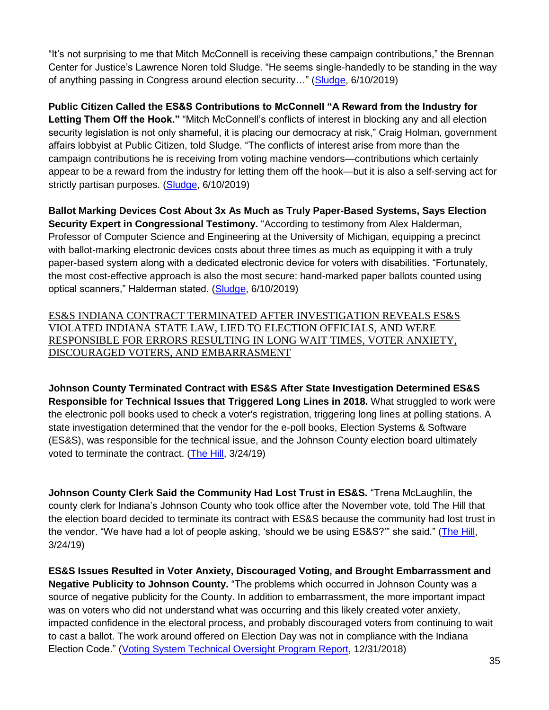"It's not surprising to me that Mitch McConnell is receiving these campaign contributions," the Brennan Center for Justice's Lawrence Noren told Sludge. "He seems single-handedly to be standing in the way of anything passing in Congress around election security…" [\(Sludge,](https://readsludge.com/2019/06/10/as-he-blocks-election-security-bills-mcconnell-takes-checks-from-voting-machine-lobbyists/) 6/10/2019)

**Public Citizen Called the ES&S Contributions to McConnell "A Reward from the Industry for Letting Them Off the Hook."** "Mitch McConnell's conflicts of interest in blocking any and all election security legislation is not only shameful, it is placing our democracy at risk," Craig Holman, government affairs lobbyist at Public Citizen, told Sludge. "The conflicts of interest arise from more than the campaign contributions he is receiving from voting machine vendors—contributions which certainly appear to be a reward from the industry for letting them off the hook—but it is also a self-serving act for strictly partisan purposes. [\(Sludge,](https://readsludge.com/2019/06/10/as-he-blocks-election-security-bills-mcconnell-takes-checks-from-voting-machine-lobbyists/) 6/10/2019)

**Ballot Marking Devices Cost About 3x As Much as Truly Paper-Based Systems, Says Election Security Expert in Congressional Testimony.** "According to testimony from Alex Halderman, Professor of Computer Science and Engineering at the University of Michigan, equipping a precinct with ballot-marking electronic devices costs about three times as much as equipping it with a truly paper-based system along with a dedicated electronic device for voters with disabilities. "Fortunately, the most cost-effective approach is also the most secure: hand-marked paper ballots counted using optical scanners," Halderman stated. [\(Sludge,](https://readsludge.com/2019/06/10/as-he-blocks-election-security-bills-mcconnell-takes-checks-from-voting-machine-lobbyists/) 6/10/2019)

ES&S INDIANA CONTRACT TERMINATED AFTER INVESTIGATION REVEALS ES&S VIOLATED INDIANA STATE LAW, LIED TO ELECTION OFFICIALS, AND WERE RESPONSIBLE FOR ERRORS RESULTING IN LONG WAIT TIMES, VOTER ANXIETY, DISCOURAGED VOTERS, AND EMBARRASMENT

**Johnson County Terminated Contract with ES&S After State Investigation Determined ES&S Responsible for Technical Issues that Triggered Long Lines in 2018.** What struggled to work were the electronic poll books used to check a voter's registration, triggering long lines at polling stations. A state investigation determined that the vendor for the e-poll books, Election Systems & Software (ES&S), was responsible for the technical issue, and the Johnson County election board ultimately voted to terminate the contract. [\(The Hill,](https://thehill.com/policy/cybersecurity/435361-voting-tech-creates-growing-concern-for-local-officials) 3/24/19)

**Johnson County Clerk Said the Community Had Lost Trust in ES&S.** "Trena McLaughlin, the county clerk for Indiana's Johnson County who took office after the November vote, told The Hill that the election board decided to terminate its contract with ES&S because the community had lost trust in the vendor. "We have had a lot of people asking, 'should we be using ES&S?'" she said." [\(The Hill,](https://thehill.com/policy/cybersecurity/435361-voting-tech-creates-growing-concern-for-local-officials) 3/24/19)

**ES&S Issues Resulted in Voter Anxiety, Discouraged Voting, and Brought Embarrassment and Negative Publicity to Johnson County.** "The problems which occurred in Johnson County was a source of negative publicity for the County. In addition to embarrassment, the more important impact was on voters who did not understand what was occurring and this likely created voter anxiety, impacted confidence in the electoral process, and probably discouraged voters from continuing to wait to cast a ballot. The work around offered on Election Day was not in compliance with the Indiana Election Code." [\(Voting System Technical Oversight Program Report,](https://www.scribd.com/document/397140254/Report-Johnson-County-Voting-Investigation#download&from_embed) 12/31/2018)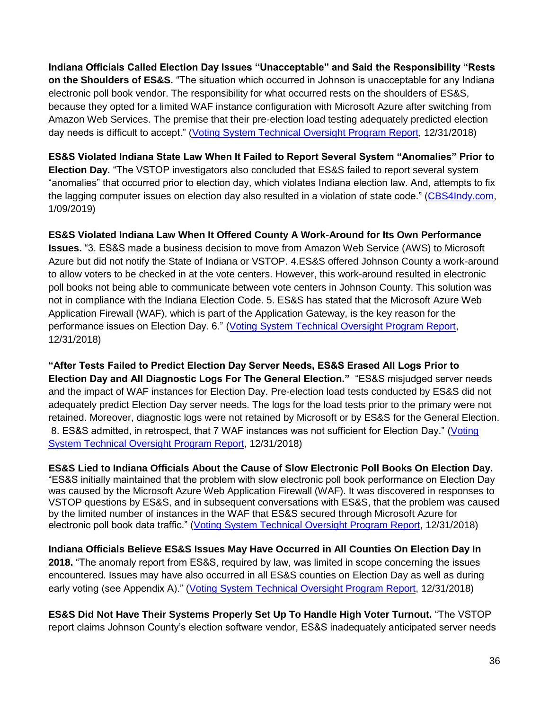**Indiana Officials Called Election Day Issues "Unacceptable" and Said the Responsibility "Rests on the Shoulders of ES&S.** "The situation which occurred in Johnson is unacceptable for any Indiana electronic poll book vendor. The responsibility for what occurred rests on the shoulders of ES&S, because they opted for a limited WAF instance configuration with Microsoft Azure after switching from Amazon Web Services. The premise that their pre-election load testing adequately predicted election day needs is difficult to accept." [\(Voting System Technical Oversight Program Report,](https://www.scribd.com/document/397140254/Report-Johnson-County-Voting-Investigation#download&from_embed) 12/31/2018)

**ES&S Violated Indiana State Law When It Failed to Report Several System "Anomalies" Prior to Election Day.** "The VSTOP investigators also concluded that ES&S failed to report several system "anomalies" that occurred prior to election day, which violates Indiana election law. And, attempts to fix the lagging computer issues on election day also resulted in a violation of state code." [\(CBS4Indy.com,](https://cbs4indy.com/2019/01/09/cbs4-exclusive-johnson-county-violated-election-laws-new-state-report-uncovers/) 1/09/2019)

**ES&S Violated Indiana Law When It Offered County A Work-Around for Its Own Performance Issues.** "3. ES&S made a business decision to move from Amazon Web Service (AWS) to Microsoft Azure but did not notify the State of Indiana or VSTOP. 4.ES&S offered Johnson County a work-around to allow voters to be checked in at the vote centers. However, this work-around resulted in electronic poll books not being able to communicate between vote centers in Johnson County. This solution was not in compliance with the Indiana Election Code. 5. ES&S has stated that the Microsoft Azure Web Application Firewall (WAF), which is part of the Application Gateway, is the key reason for the performance issues on Election Day. 6." [\(Voting System Technical Oversight Program Report,](https://www.scribd.com/document/397140254/Report-Johnson-County-Voting-Investigation#download&from_embed) 12/31/2018)

**"After Tests Failed to Predict Election Day Server Needs, ES&S Erased All Logs Prior to Election Day and All Diagnostic Logs For The General Election."** "ES&S misjudged server needs and the impact of WAF instances for Election Day. Pre-election load tests conducted by ES&S did not adequately predict Election Day server needs. The logs for the load tests prior to the primary were not retained. Moreover, diagnostic logs were not retained by Microsoft or by ES&S for the General Election. 8. ES&S admitted, in retrospect, that 7 WAF instances was not sufficient for Election Day." (Voting [System Technical Oversight Program Report,](https://www.scribd.com/document/397140254/Report-Johnson-County-Voting-Investigation#download&from_embed) 12/31/2018)

**ES&S Lied to Indiana Officials About the Cause of Slow Electronic Poll Books On Election Day.** "ES&S initially maintained that the problem with slow electronic poll book performance on Election Day was caused by the Microsoft Azure Web Application Firewall (WAF). It was discovered in responses to VSTOP questions by ES&S, and in subsequent conversations with ES&S, that the problem was caused by the limited number of instances in the WAF that ES&S secured through Microsoft Azure for electronic poll book data traffic." [\(Voting System Technical Oversight Program Report,](https://www.scribd.com/document/397140254/Report-Johnson-County-Voting-Investigation#download&from_embed) 12/31/2018)

**Indiana Officials Believe ES&S Issues May Have Occurred in All Counties On Election Day In 2018.** "The anomaly report from ES&S, required by law, was limited in scope concerning the issues encountered. Issues may have also occurred in all ES&S counties on Election Day as well as during early voting (see Appendix A)." [\(Voting System Technical Oversight Program Report,](https://www.scribd.com/document/397140254/Report-Johnson-County-Voting-Investigation#download&from_embed) 12/31/2018)

**ES&S Did Not Have Their Systems Properly Set Up To Handle High Voter Turnout.** "The VSTOP report claims Johnson County's election software vendor, ES&S inadequately anticipated server needs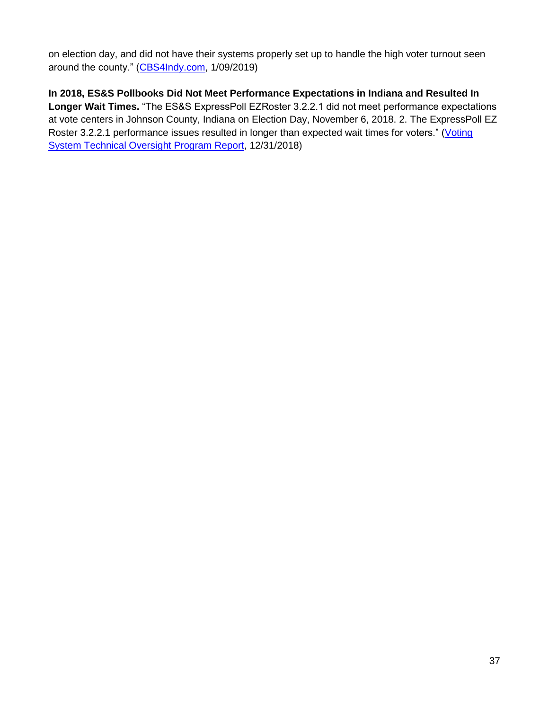on election day, and did not have their systems properly set up to handle the high voter turnout seen around the county." [\(CBS4Indy.com,](https://cbs4indy.com/2019/01/09/cbs4-exclusive-johnson-county-violated-election-laws-new-state-report-uncovers/) 1/09/2019)

**In 2018, ES&S Pollbooks Did Not Meet Performance Expectations in Indiana and Resulted In Longer Wait Times.** "The ES&S ExpressPoll EZRoster 3.2.2.1 did not meet performance expectations at vote centers in Johnson County, Indiana on Election Day, November 6, 2018. 2. The ExpressPoll EZ Roster 3.2.2.1 performance issues resulted in longer than expected wait times for voters." (Voting [System Technical Oversight Program Report,](https://www.scribd.com/document/397140254/Report-Johnson-County-Voting-Investigation#download&from_embed) 12/31/2018)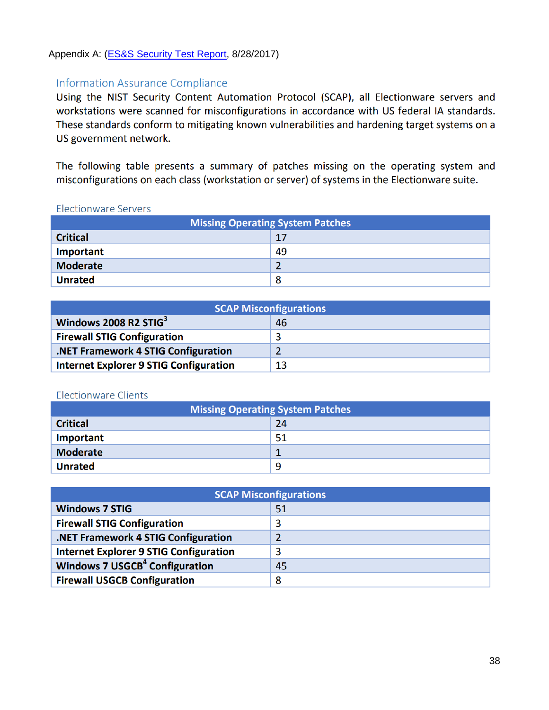### Appendix A: (**ES&S Security Test Report**, 8/28/2017)

## **Information Assurance Compliance**

Using the NIST Security Content Automation Protocol (SCAP), all Electionware servers and workstations were scanned for misconfigurations in accordance with US federal IA standards. These standards conform to mitigating known vulnerabilities and hardening target systems on a US government network.

The following table presents a summary of patches missing on the operating system and misconfigurations on each class (workstation or server) of systems in the Electionware suite.

#### **Electionware Servers**

| <b>Missing Operating System Patches</b> |    |  |  |  |
|-----------------------------------------|----|--|--|--|
| <b>Critical</b>                         | 17 |  |  |  |
| Important                               | 49 |  |  |  |
| Moderate                                | 2  |  |  |  |
| <b>Unrated</b>                          | 8  |  |  |  |

| <b>SCAP Misconfigurations</b>                 |    |  |  |  |
|-----------------------------------------------|----|--|--|--|
| Windows 2008 R2 STIG3                         | 46 |  |  |  |
| <b>Firewall STIG Configuration</b>            |    |  |  |  |
| .NET Framework 4 STIG Configuration           |    |  |  |  |
| <b>Internet Explorer 9 STIG Configuration</b> | 13 |  |  |  |

#### **Electionware Clients**

| <b>Missing Operating System Patches</b> |    |  |  |  |
|-----------------------------------------|----|--|--|--|
| <b>Critical</b>                         | 24 |  |  |  |
| Important                               | 51 |  |  |  |
| <b>Moderate</b>                         |    |  |  |  |
| <b>Unrated</b>                          | 9  |  |  |  |

| <b>SCAP Misconfigurations</b>                    |    |  |  |  |
|--------------------------------------------------|----|--|--|--|
| <b>Windows 7 STIG</b>                            | 51 |  |  |  |
| <b>Firewall STIG Configuration</b>               | 3  |  |  |  |
| .NET Framework 4 STIG Configuration              | 2  |  |  |  |
| <b>Internet Explorer 9 STIG Configuration</b>    | 3  |  |  |  |
| <b>Windows 7 USGCB<sup>4</sup> Configuration</b> | 45 |  |  |  |
| <b>Firewall USGCB Configuration</b>              | 8  |  |  |  |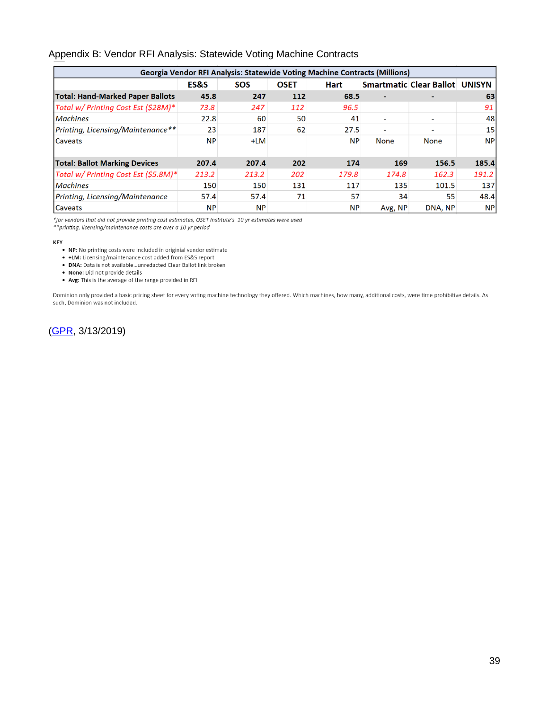#### Appendix B: Vendor RFI Analysis: Statewide Voting Machine Contracts

| <b>Georgia Vendor RFI Analysis: Statewide Voting Machine Contracts (Millions)</b> |           |            |             |             |         |                                |           |  |  |
|-----------------------------------------------------------------------------------|-----------|------------|-------------|-------------|---------|--------------------------------|-----------|--|--|
|                                                                                   | ES&S      | <b>SOS</b> | <b>OSET</b> | <b>Hart</b> |         | Smartmatic Clear Ballot UNISYN |           |  |  |
| <b>Total: Hand-Marked Paper Ballots</b>                                           | 45.8      | 247        | 112         | 68.5        |         |                                | 63        |  |  |
| Total w/ Printing Cost Est (\$28M)*                                               | 73.8      | 247        | 112         | 96.5        |         |                                | 91        |  |  |
| <b>Machines</b>                                                                   | 22.8      | 60         | 50          | 41          |         |                                | 48        |  |  |
| Printing, Licensing/Maintenance**                                                 | 23        | 187        | 62          | 27.5        | -       | -                              | 15        |  |  |
| Caveats                                                                           | <b>NP</b> | $+LM$      |             | <b>NP</b>   | None    | None                           | <b>NP</b> |  |  |
|                                                                                   |           |            |             |             |         |                                |           |  |  |
| <b>Total: Ballot Marking Devices</b>                                              | 207.4     | 207.4      | 202         | 174         | 169     | 156.5                          | 185.4     |  |  |
| Total w/ Printing Cost Est (\$5.8M)*                                              | 213.2     | 213.2      | 202         | 179.8       | 174.8   | 162.3                          | 191.2     |  |  |
| <b>Machines</b>                                                                   | 150       | 150        | 131         | 117         | 135     | 101.5                          | 137       |  |  |
| Printing, Licensing/Maintenance                                                   | 57.4      | 57.4       | 71          | 57          | 34      | 55                             | 48.4      |  |  |
| <b>Caveats</b>                                                                    | <b>NP</b> | <b>NP</b>  |             | <b>NP</b>   | Avg, NP | DNA, NP                        | <b>NP</b> |  |  |

\*for vendors that did not provide printing cost estimates, OSET Institute's 10 yr estimates were used

\*\* printing, licensing/maintenance costs are over a 10 yr period

#### KEY

. NP: No printing costs were included in originial vendor estimate

. +LM: Licensing/maintenance cost added from ES&S report

. DNA: Data is not available...unredacted Clear Ballot link broken

. None: Did not provide details

. Avg: This is the average of the range provided in RFI

Dominion only provided a basic pricing sheet for every voting machine technology they offered. Which machines, how many, additional costs, were time prohibitive details. As such, Dominion was not included.